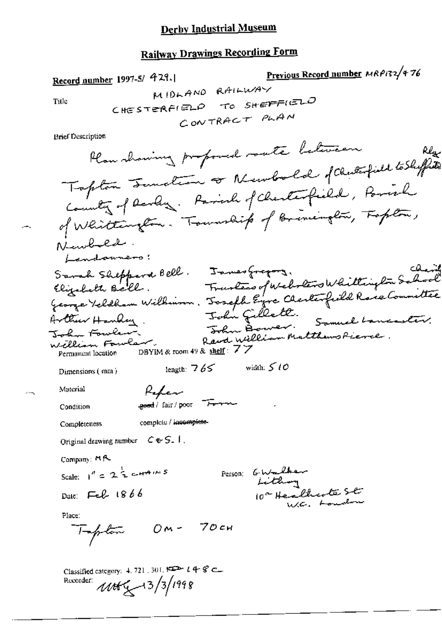# **Railway Drawings Recording Form**

Record number 1997-S/ 429.

 $\subset$ 

Previous Record number MRP132/476

Title

 $\delta\gamma$ 

**Brief Description** 

Classified category: 4, 721, 301,  $\overbrace{\phantom{h^{2}}\longrightarrow\quad}$   $t\stackrel{\Delta}{\rightarrow}\mathcal{C}\longrightarrow$ Recorder: 1166 4 - 13/3/1998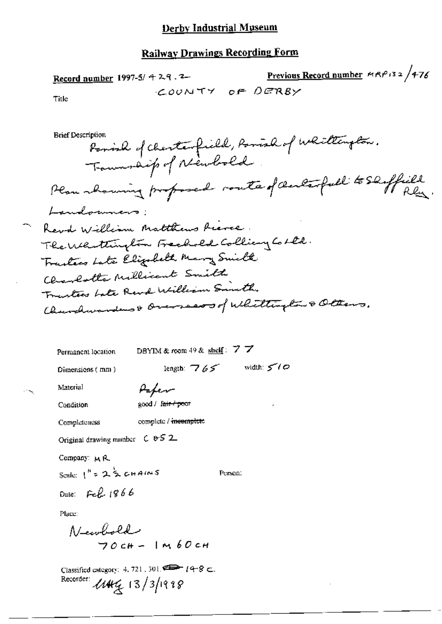### **Railway Drawings Recording Form**

<u>Previous Record number</u>  $MRP/32/476$ Record number 1997-5/ 4 2.9.2 COUNTY OF DERBY Title **Brief Description** Parish of charterfield, Parish of Whitelaylor. Township of Newbold. Plan showing proposed route of centerfull to Shiffield Landonners Revol William Matthews Riever. The Whittington Freehold Colliany Colle. Trantecs Late Elizabeth Mary Smilk Charlotte Millicent Smith Trantees bate Revol William Smith. Churchwardens & Overseas of Whittington & Oltens. DBYIM & room 49 & shelf:  $7\,7$ Permanent location length:  $765$  width:  $500$ Dimensions (mm) Material Paper good / fair / poor Condition complete / incomplete Completeness Original drawing number C & S 2 Company: MR

Scale:  $1^{h}$  = 2  $\frac{1}{2}$  chains

Person:

Date: Feb 1866

Place:

$$
\begin{array}{c}\n\mathsf{N}\text{-}\text{cubold} \\
70 \text{cH} - 1 \text{m} \text{60 cm}\n\end{array}
$$

Classified category: 4, 721, 301,  $\implies$   $14-8$   $\subset$ . Recorder: 11444 13/3/1998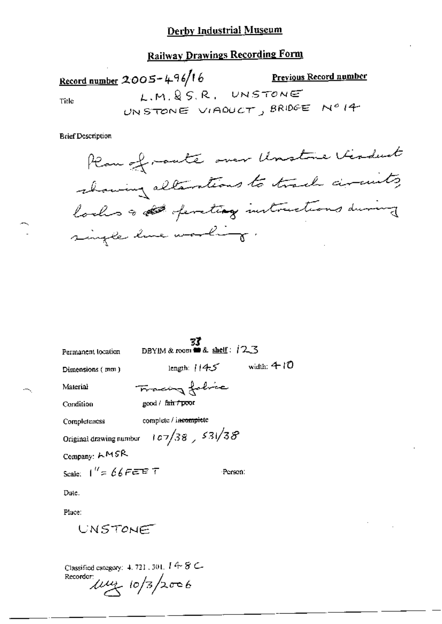# **Railway Drawings Recording Form**

Record number 2005-496/16 Previous Record number L.M. & S.R. UNSTONE Title UNSTONE VIADUCT, BRIDGE Nº 14

**Brief Description** 



|                                                         |                                    | 33              |               |
|---------------------------------------------------------|------------------------------------|-----------------|---------------|
| Permanent location                                      | DBYIM & room <b>a</b> & shelf: 123 |                 |               |
| Dimensions ( mm )                                       |                                    | length: $114.5$ | width: $4-10$ |
| Material                                                | Tracing folice                     |                 |               |
| Condition                                               | good / fair / poor                 |                 |               |
| Completeness                                            | complete / incomplete              |                 |               |
| Original drawing number $+ c$ 7/38 $\frac{1}{2}$ 531/38 |                                    |                 |               |
| Company: LMSR                                           |                                    |                 |               |
| Scale: $1'' = 66$ FEET                                  |                                    | Person:         |               |
| Date.                                                   |                                    |                 |               |
| Place:                                                  |                                    |                 |               |
| UNSTONE                                                 |                                    |                 |               |
|                                                         |                                    |                 |               |

Classified category: 4, 721, 301,  $I \nleftrightarrow S \subset$ Recorder:  $\mu$  $\mu$  10/3/2006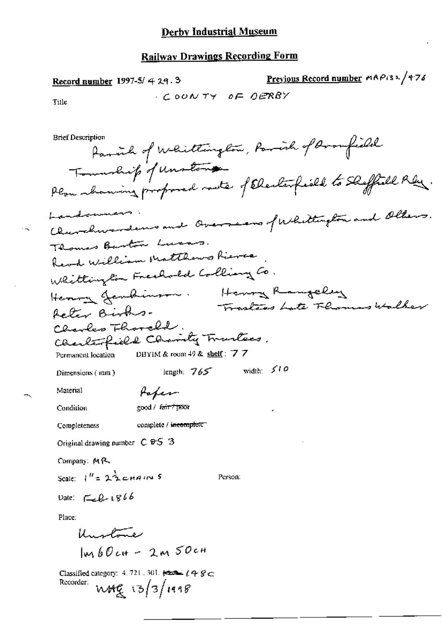$\cdot \sim$ 

| Previous Record number MAP132/476<br>Record number 1997-5/429.3                                                                                                                 |
|---------------------------------------------------------------------------------------------------------------------------------------------------------------------------------|
| COONTY OF OERBY<br>Title                                                                                                                                                        |
|                                                                                                                                                                                 |
| <b>Brief Description</b><br>family of Whittington, Parish of Aroufield                                                                                                          |
| Township of unstand<br>Plou abanning proposed mote of Electorfield to Sleffield Rey                                                                                             |
| Landonners<br>Churchwardens and Overseens furlittington and Ollers.                                                                                                             |
| Thomas Barton Lucas.                                                                                                                                                            |
| Keve William Matthews Rieves                                                                                                                                                    |
| Whittington Freehold Colliany Co.                                                                                                                                               |
| Henry Rangeley<br>Henry Jendinson.                                                                                                                                              |
| Trasters Late Thomas Walker<br>Actor Births.                                                                                                                                    |
| Charles Thorold.                                                                                                                                                                |
| Charlesfield Charity Trartees.                                                                                                                                                  |
| DBYIM & room 49 & shelf: $77$<br>Permanent location                                                                                                                             |
| width: $510$<br>length: $765$<br>Dimensions $(mn)$                                                                                                                              |
| Material<br>Paper                                                                                                                                                               |
| cood / fair / poor<br>Condition<br>٠                                                                                                                                            |
| complete / incomplete<br>Completeness                                                                                                                                           |
| Original drawing number $C \mathfrak{B}5$ 3                                                                                                                                     |
| Company: MR                                                                                                                                                                     |
| Scale: $1^H = 2\frac{\lambda}{2}$ chaires<br>Person:                                                                                                                            |
| Date: $\mathcal{L}$ $1866$                                                                                                                                                      |
| Place:                                                                                                                                                                          |
| Unstone                                                                                                                                                                         |
| $l_{un}k$ <i>D<sub>c</sub>H - 2m 50cH</i>                                                                                                                                       |
| Classified category: 4, 721, 301, $\overline{\leftarrow}$ $\overline{=}$ $\overline{L}$ $\overline{=}$ $\overline{L}$ $\overline{>}$ $\overline{C}$<br>Recorder:<br>W49/13/1998 |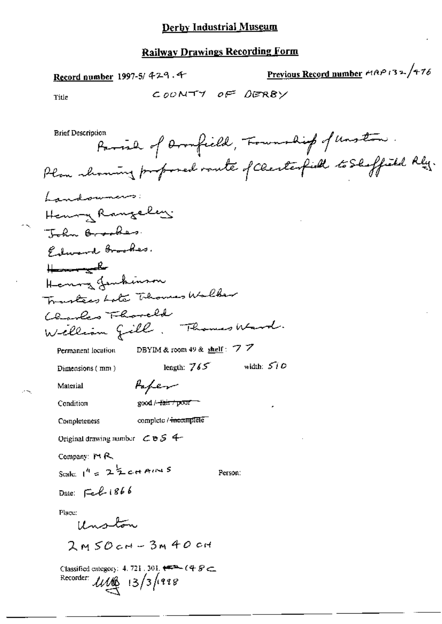Record number 1997-5/429.4

Previous Record number HAP 132/476

Title

**Brief Description** Parish of Doonfield, Township of Unstan Plan showing proposed vante of Clerkerfield to Shoffield Rly. Landowners: Henry Rangelis Tohn Brooker. Edward Brookes.  $H_{\text{max}}$ Henry Jembinson Transfers Late Thomas Walker Clarles Thoreld Welliam fill. Thomas Ward. DBYIM & room 49 & shelf:  $77$ Permanent location length:  $765$  width:  $510$ Dimensions (mm) Paper Material Condition  $\text{good}/\text{-fair}/\text{port}$ complete / <del>incomplete</del> Completeness Original drawing number  $CBS$  4-Company: MR

Scale:  $1^{4}$  =  $2\frac{1}{2}$  c+ AIN S

Person:

Date: Feb 1866

Place:

Unston

 $2MSO$   $cm - 3M$  40  $cm$ 

Classified category: 4, 721, 301,  $\overline{++}$  (4  $\overline{S}$   $\subset$ Recorder:  $\mathcal{U}\mathcal{U}^{\text{max}}_{\text{max}}$  13/3/1998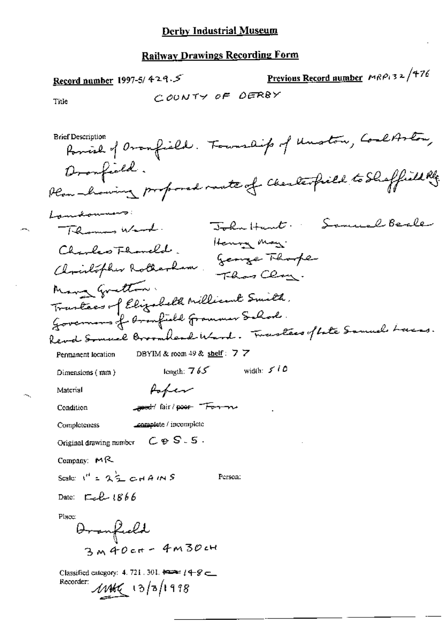÷,

Ń.

| Record number 1997-5/429.5                                                                           | <u>Previous Record number</u> $MRP_132/776$                       |
|------------------------------------------------------------------------------------------------------|-------------------------------------------------------------------|
| COUNTY OF DERBY<br>Title                                                                             |                                                                   |
|                                                                                                      |                                                                   |
| <b>Brief Description</b>                                                                             | Parish of Oranfield. Fourship of Unston, Coreltston,              |
| Dronfield.<br>Plan howing proposed rate of Cherlesfield to Shaffield Ref.                            |                                                                   |
| Landonness                                                                                           |                                                                   |
| Themes word.                                                                                         | Samuel Beale<br>$\overline{\mathbb{J}}$ okn $\mathbb{H}$ un $t$ . |
| Charles Fhaneld.                                                                                     | Henny May.                                                        |
| Christopher Rotherham                                                                                | George Thompe<br>Than Chang.                                      |
| Many Gratton.                                                                                        |                                                                   |
| Trantees of Elizabeth Millicant Smith,                                                               |                                                                   |
| Governors of Aranfield Grammer School.                                                               |                                                                   |
| Revol Somuel Broomhead Ward. Tweestees of late Samuel Lacas.                                         |                                                                   |
| DBYIM & room 49 & shelf: $7\overline{7}$<br>Permanent location                                       |                                                                   |
| length: $765$<br>Dimensions (mm)                                                                     | width: $5/6$                                                      |
| Poper<br>Material                                                                                    |                                                                   |
| <b>seed:</b> fair / poor Forman<br>Condition                                                         |                                                                   |
| complete / incomplete<br>Completeness                                                                |                                                                   |
| $C \otimes S-S$ .<br>Original drawing number                                                         |                                                                   |
| Company: $M$ <sup>2</sup>                                                                            |                                                                   |
| Scale: $I'' = 2\frac{1}{2}$ c $AAMS$<br>Person:                                                      |                                                                   |
| Date: $\Box$ cl $\angle$ 1866                                                                        |                                                                   |
| Place:<br>Oronfield<br>3M40ct-4M30cH                                                                 |                                                                   |
| Classified category: 4, 721, 301, $\overline{1}$ = $(4 - 8 - 1)$<br>Recorder:<br>$1146$ $(3/5/1998)$ |                                                                   |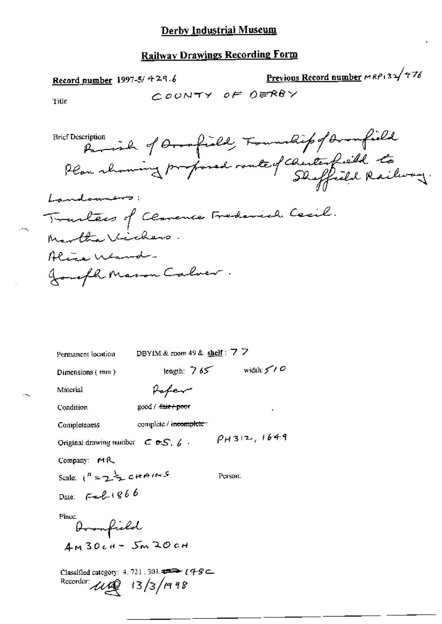# Record number 1997-5/ 429.6

Previous Record number MRP132 476

Title

| Permanent location                                                                             | DBYIM & room 49 & shelf: $7\overline{7}$ |                     |
|------------------------------------------------------------------------------------------------|------------------------------------------|---------------------|
| Dimensions (mm)                                                                                | length: $765$                            | width $5$ / $\circ$ |
| Material                                                                                       | Hafer                                    |                     |
| Condition                                                                                      | $good / 4$ air $+$ poor                  |                     |
| Completeness                                                                                   | complete / incomplete                    |                     |
| Original drawing number $C \in S$ , $\emptyset$ .                                              |                                          | $\rho_H$ 312, 1649  |
| Company: $MA$                                                                                  |                                          |                     |
| Scale: $1^n = 2 \div 0 + A^{n+1}$                                                              |                                          | Person:             |
| Date: $F = L (866)$                                                                            |                                          |                     |
| Place.<br>Doomfield<br>$4M30cH - 5M20cH$                                                       |                                          |                     |
| Classified category: 4, 721, 301, $\Rightarrow$ (4-8<br>Recorder: $\mu$ $\mathbb{Q}$ 13/3/1998 |                                          |                     |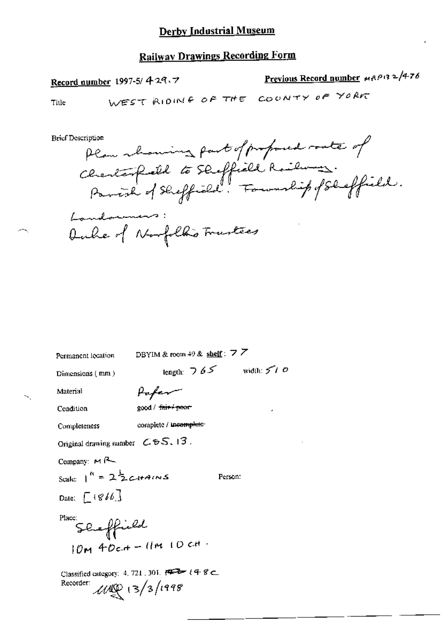# **Railway Drawings Recording Form**

# Record number 1997-5/429.7

Previous Record number MRP132/476

Title

**Brief Description** 

Permanent lecation

DBYIM & room 49 & shelf:  $7\overline{7}$ 

Dimensions (mm)

Paper

length:  $765$  width:  $570$ 

Person:

Condition

Material

×.

good / fair- poor

Completeness

complete / incomplete

Original drawing number  $\mathcal{L}$  & S, 13.

Company:  $M$  $A$ 

Scale:  $1^{n}$  =  $2\frac{1}{2}$ c+4ms Date:  $[4866]$ 

$$
\sum_{n=1}^{p_{\text{lacc}}} S_{\text{eq}} = \int_{0}^{\infty} \int_{0}^{\infty} \int_{0}^{\infty} \int_{0}^{\infty} \int_{0}^{\infty} \int_{0}^{\infty} \int_{0}^{\infty} \int_{0}^{\infty} \int_{0}^{\infty} \int_{0}^{\infty} \int_{0}^{\infty} \int_{0}^{\infty} \int_{0}^{\infty} \int_{0}^{\infty} \int_{0}^{\infty} \int_{0}^{\infty} \int_{0}^{\infty} \int_{0}^{\infty} \int_{0}^{\infty} \int_{0}^{\infty} \int_{0}^{\infty} \int_{0}^{\infty} \int_{0}^{\infty} \int_{0}^{\infty} \int_{0}^{\infty} \int_{0}^{\infty} \int_{0}^{\infty} \int_{0}^{\infty} \int_{0}^{\infty} \int_{0}^{\infty} \int_{0}^{\infty} \int_{0}^{\infty} \int_{0}^{\infty} \int_{0}^{\infty} \int_{0}^{\infty} \int_{0}^{\infty} \int_{0}^{\infty} \int_{0}^{\infty} \int_{0}^{\infty} \int_{0}^{\infty} \int_{0}^{\infty} \int_{0}^{\infty} \int_{0}^{\infty} \int_{0}^{\infty} \int_{0}^{\infty} \int_{0}^{\infty} \int_{0}^{\infty} \int_{0}^{\infty} \int_{0}^{\infty} \int_{0}^{\infty} \int_{0}^{\infty} \int_{0}^{\infty} \int_{0}^{\infty} \int_{0}^{\infty} \int_{0}^{\infty} \int_{0}^{\infty} \int_{0}^{\infty} \int_{0}^{\infty} \int_{0}^{\infty} \int_{0}^{\infty} \int_{0}^{\infty} \int_{0}^{\infty} \int_{0}^{\infty} \int_{0}^{\infty} \int_{0}^{\infty} \int_{0}^{\infty} \int_{0}^{\infty} \int_{0}^{\infty} \int_{0}^{\infty} \int_{0}^{\infty} \int_{0}^{\infty} \int_{0}^{\infty} \int_{0}^{\infty} \int_{0}^
$$

Classified category: 4, 721, 301,  $\overline{PQ}$  (4 8 c.  $118$  (3/3/1998) Recorder: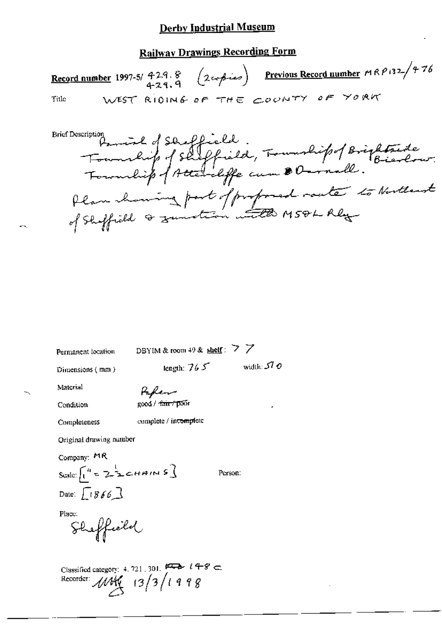# **Railway Drawings Recording Form**

Record number 1997-5/ 429.8  $(2\epsilon_0 f - \epsilon_0)$  Previous Record number  $MRP$ 132- $/776$ <br>429.9 WEST RIDING OF THE COUNTY OF YORK Title

**Brief Description** scription<br>Township of Shepfield, Township of Brightaide Plan channing part of profoned route to Nutterst

Permanent location

DBYIM & room 49 & shelf:  $\geq$   $\geq$ 

Dimensions (mm)

tength:  $765$ 

Material

Paker

Condition

Completeness

good / fair / poor

complete / incomplete

Original drawing number

Company: MR

Scale:  $\int_1^u z \geq \frac{1}{2}$ cHAINS] Date:  $\sqrt{866}$ 

Person:

width:  $570$ 

Place:

Sheffield

Classified category: 4. 721, 301.  $\overline{P}$  if  $\overline{P}$   $\in$   $\overline{P}$  Recorder:  $\overline{M}$   $\overline{M}$   $\overline{M}$   $\overline{13}/3$   $\overline{1498}$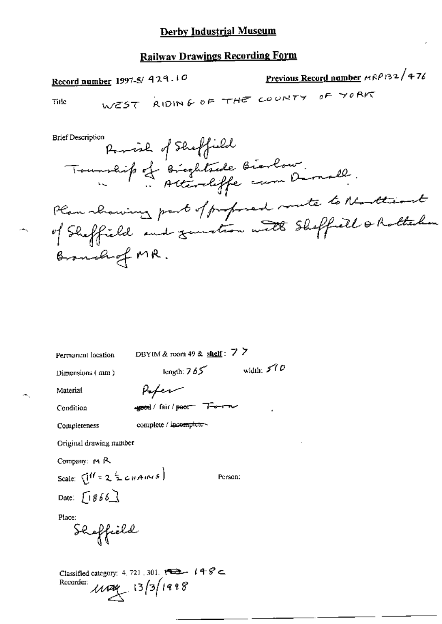# **Railway Drawings Recording Form**

 $\overline{a}$   $\overline{a}$   $\overline{a}$   $\overline{a}$   $\overline{a}$   $\overline{a}$   $\overline{a}$   $\overline{a}$   $\overline{a}$   $\overline{a}$   $\overline{a}$   $\overline{a}$   $\overline{a}$   $\overline{a}$   $\overline{a}$   $\overline{a}$   $\overline{a}$   $\overline{a}$   $\overline{a}$   $\overline{a}$   $\overline{a}$   $\overline{a}$   $\overline{a}$   $\overline{a}$   $\overline{$ 

Record number 1997-5/ 429.10

Previous Record number MRP132/476

Title

**Brief Description** 

Permanent location

DBYIM & room 49 & shelf:  $7\overline{7}$ 

Dimensions (mm)

length:  $765$  width:  $570$ 

Material Condition

÷.

egeed/fair/peer Teen

Afer

Completeness

complete / incomplete-

Original drawing number

Company: MR

Scale:  $Q^{ff} = 2 \frac{1}{2} c_H A_1 N s$ Date:  $[1866]$ 

Person:

Place:

e<br>Sloffield

Classified category: 4, 721, 301,  $\overline{122}$   $(48)$ Recorder:  $13/3/1998$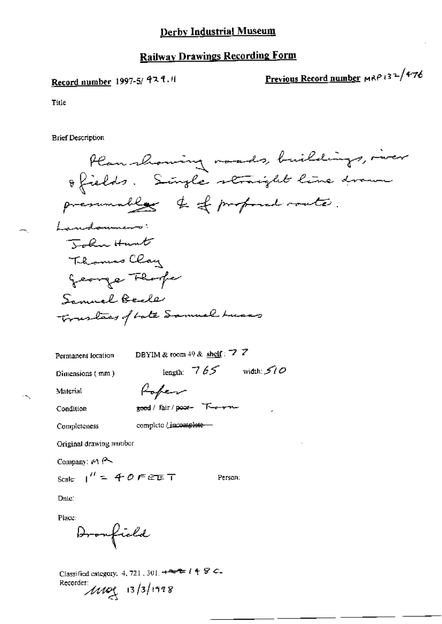## **Railway Drawings Recording Form**

# Record number 1997-5/ 929.11

Previous Record number MRP 132/476

Title

**Brief Description** 

Plan showing mades, buildings, mer ofields. Single straight line drawn presumably to of profound route. Landomners: Tokn Hunt Thomas Clay george Fhorfe Samuel Beale Trustees of both Samuel Lucas DBYIM & room 49 & shelf: 7  $\overline{Z}$ Permanent location

length:  $765$  width:  $510$ Dimensions (mm) Rober Material good / fair / poor- T-e-r-n-Condition complete / incomplete -Completeness Original drawing munber

Company:  $M \rightarrow$ 

Scale:  $1'' = 40$  F E E T

Person:

Date:

Place:

Dromfield

Recorder:  $11/10$   $(3/1998)$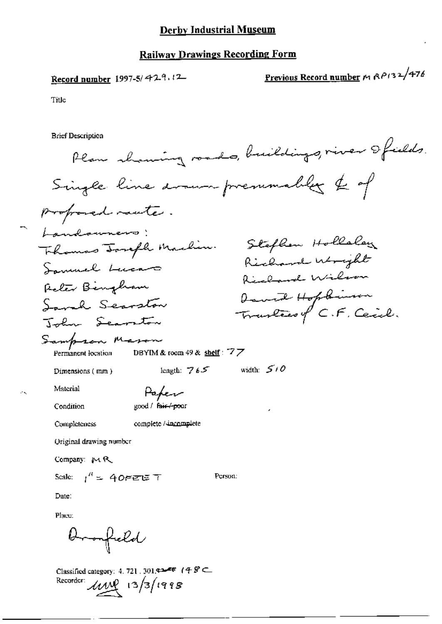Record number 1997-5/429,12

Previous Record number M RP132/476

Title

**Brief Description** 

Plan showing roads, buildings, river ofields. Single line drawn premmables & of proposed raute. Landowners! Stephen Hollaley Thomas Tough Machin. Richard Wright Samuel Luca Richard Wilson Reter Bingham David Hopkinson Sound Secretary Travelies of C.F. Ceich. Tolm Searston Sampson Mason DBYIM & room 49 & shelf:  $77$ Permanent location length:  $765$  width:  $510$ Dimensions (mm) Material Paper Condition good / fair-/-poor complete / incomplete Completeness Original drawing number Company: MR Scale:  $1^H = 40$  FeTE T Person: Date: Place: <del>Dronfield</del>

Classified category: 4, 721, 301, 42 F (4  $\mathcal{G} \subset$ Recorder:  $\mu$   $\mu$   $(3/3/1998)$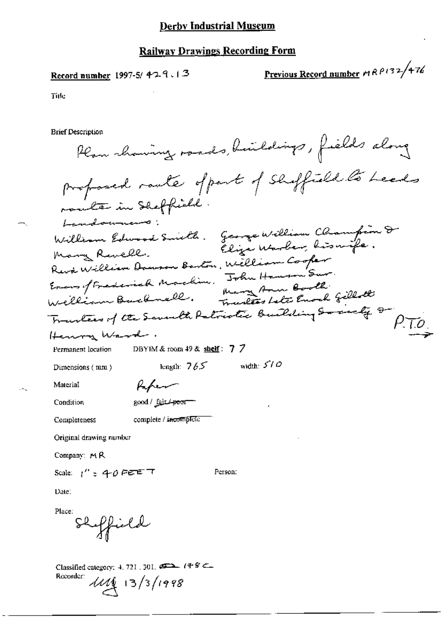Record number 1997-5/429.13

Previous Record number 19 R P 132/476

Title

**Brief Description** 

Plan showing roads, huildings, fields along profosed raule of part of shiffield to heads mountan in Sheffield Landounces: William Edwood Smith. George William Champion & Eliza Warber, hissuife. Many Revell. Reviewilliam Dowson Barton, William Cooper Evens of Frederick Machine, John Hausen Sur William Bucknell. Mary Ann Booth. Townless Late Enoch Gillott Tranters of the Seventh Patriotic Building Society &  $\rho_{\cdot}$ to. Henry Ward. DBYIM & room 49 & shelf:  $7\overline{7}$ Permanent location length:  $765$  width:  $510$ Dimensions (mm) Paper Material good / fair + poor Condition Completeness complete / incomplete Original drawing number Company: MR Scale:  $1'' = 40$  PEE T Person: Date: Place: Shipfield Classified category: 4, 721, 301,  $\overbrace{392}$ ,  $\overbrace{49}$   $\overbrace{6}$ 

Recorder:  $1114$  13/3/1998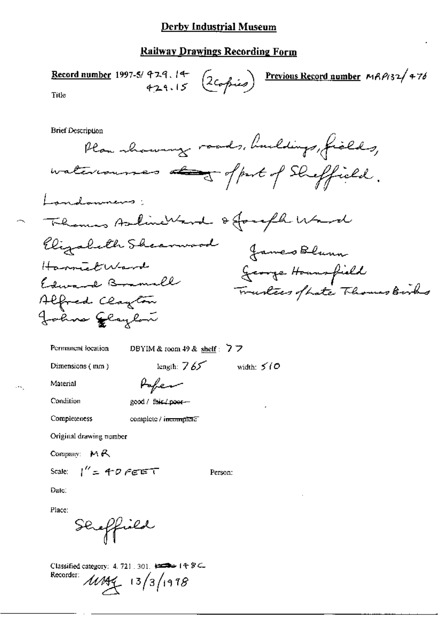#### Railway Drawings Recording Form

Record number 1997-5/429.14 (2copies) Previous Record number MRP132/476 Title **Brief Description** Plan showing roads, buildings, fields, waterrousses and offert of Sheffield. Landonners; - Themas Asline Ward & Joseph Ward Elizabeth Sheamwood James Blunn HammelWard George Housefield Edward Branall Trustees of hate Thomas Birks Alfred Clayton Johns Glaybou DBYIM & room 49 & shelf:  $77$ Permanent location length:  $765$  width:  $510$ Dimensions (mm) Popen Material Condition good / fair / poor-Completeness complete / incomplete Original drawing number Company:  $M R$ Scale:  $1'' = 40$  FEET Person: Date: Place: Sereffiald

Classified category: 4, 721, 301, 1222 14: 8 C. Recorder:  $11444$   $13/3/1978$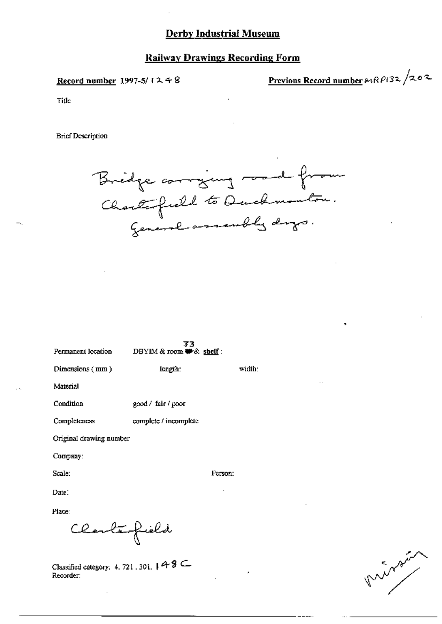#### Railway Drawings Recording Form

Record number 1997-5/ $(248)$ 

Previous Record number  $\alpha_1 R \rho_1$ 32/202

Title

**Brief Description** 



33 DBYIM & room # & shelf: Permanent location Dimensions (mm) length: width: Material Condition good / fair / poor Completeness complete / incomplete Original drawing number Company: Scale: Person: Date: Place: Clarterfield

Classified category: 4, 721, 301,  $\uparrow$  4 8  $\subseteq$ Recorder:

marsin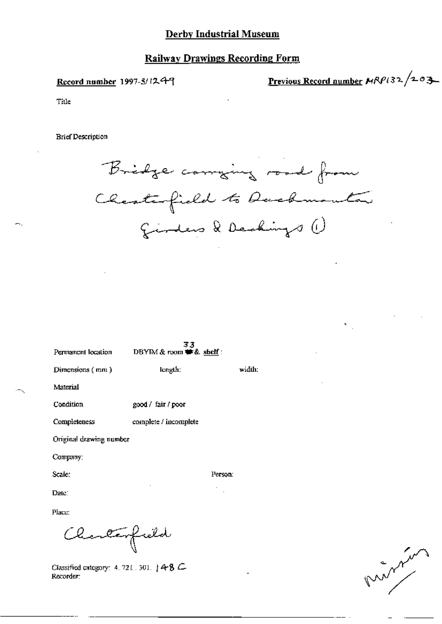## **Railway Drawings Recording Form**

Record number 1997-5/1249

Previous Record number MRP132/203

Title

**Brief Description** 



Person:

| Permanent location      | 33<br>DBYIM & room # & shelf: |        |
|-------------------------|-------------------------------|--------|
| Dimensions (mm)         | length:                       | width: |
| Material                |                               |        |
| Condition               | good / fair / poor            |        |
| Completeness            | complete / incomplete         |        |
| Original drawing number |                               |        |
| Company:                |                               |        |

Scale:

Date:

Place:

Charlesfield

Classified category: 4, 721, 301, 14-8 C Recorder:

promotion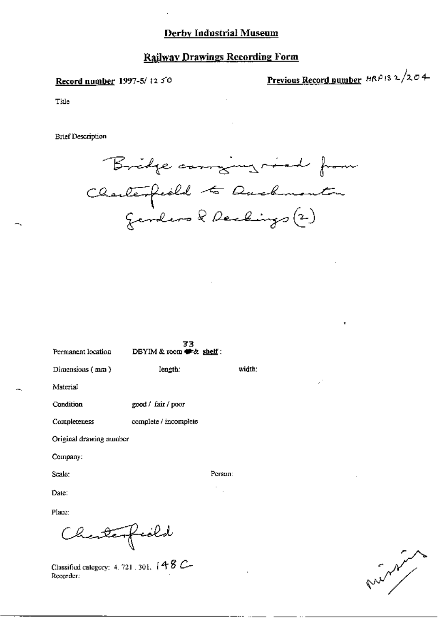#### Record number 1997-5/ t2 50

Previous Record number  $HRP/3$  2/204

Title

**Brief Description** 



Person:  $\mathcal{C}_{\mathcal{A}}$ 

| Permanent location      | 33<br>DBYIM & room # & shelf: |        |
|-------------------------|-------------------------------|--------|
| Dimensions $($ mm $)$   | length:                       | width: |
| Material                |                               |        |
| Condition               | good / fair / poor            |        |
| Completeness            | complete / incomplete         |        |
| Original drawing number |                               |        |

Company:

Scale:

Date:

Place:

Charlesfield

Classified category: 4, 721, 301,  $(48$  C-Recorder:

ستمهم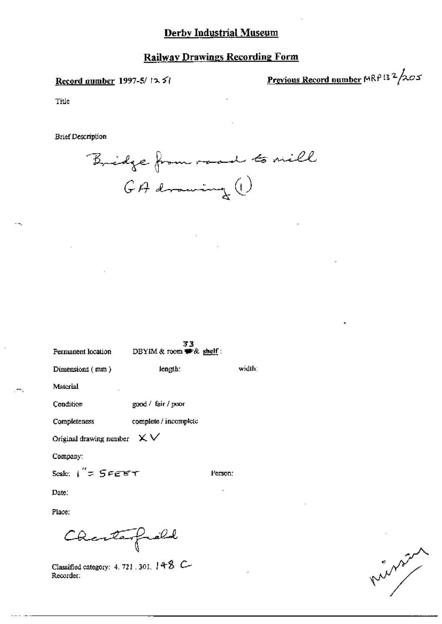#### Record number 1997-5/1251

Previous Record number MRP 13  $2/205$ 

Title

**Brief Description** 



| Permanent location                             | د ډ<br>DBYIM & room # & shelf: |         |        |
|------------------------------------------------|--------------------------------|---------|--------|
| Dimensions (mm)                                | length:                        |         | width: |
| Material                                       |                                |         |        |
| Condition                                      | good / fair / poor             |         |        |
| Completeness                                   | complete / incomplete          |         |        |
| Original drawing number $\mathsf{X}\mathsf{V}$ |                                |         |        |
| Company:                                       |                                |         |        |
| Scale: $1''$ = $5$ FEET                        |                                | Person: |        |
| Date:                                          |                                |         |        |
| Place:                                         |                                |         |        |
| Charlespield                                   |                                |         |        |

Classified category: 4, 721, 301,  $148$  C-Recorder:

what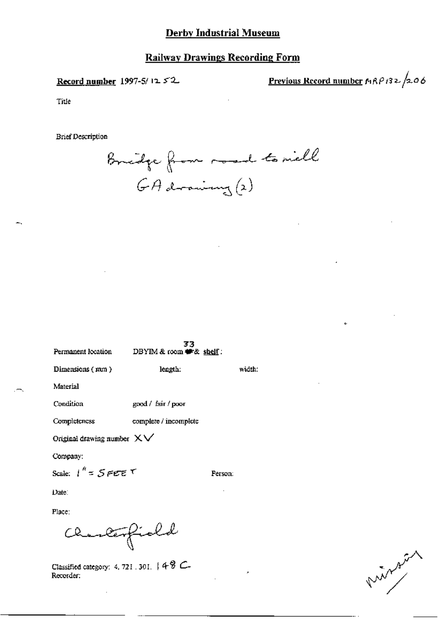Record number 1997-5/12 52

Previous Record number  $MRPI32/2.06$ 

Ł

Title

**Brief Description** 

Bridge from road to mell  $GA$  drawing  $(x)$ 

| Permanent location               | 55<br>DBYIM & room # & shelf: |         |
|----------------------------------|-------------------------------|---------|
| Dimensions (mm)                  | length:                       | width:  |
| Material                         |                               |         |
| Condition                        | good / fair / poor            |         |
| Completeness                     | complete / incomplete         |         |
| Original drawing number $X \vee$ |                               |         |
| Company;                         |                               |         |
| Scale: $1^k = S$ FEET            |                               | Person: |
| Date∶                            |                               |         |
|                                  |                               |         |

Place:

Charlesfield

Classified category: 4, 721, 301,  $48$  C-Recorder:

minux.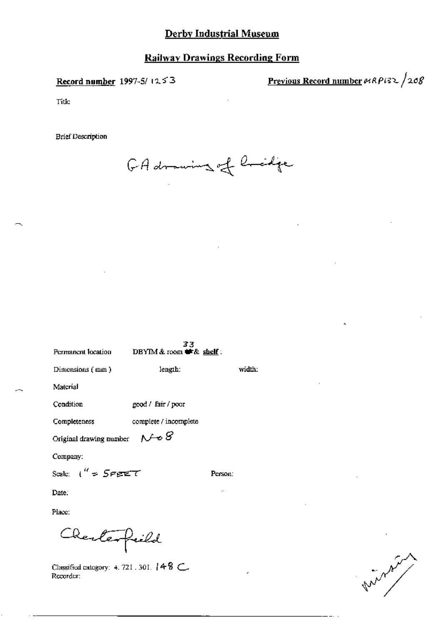Record number 1997-5/1253

Previous Record number  $\theta$ 189182/208

Title

**Brief Description** 

GA drawing of bridge

| Permanent location.     | 33<br>DBYIM & room $\blacktriangleright$ & shelf: |         |
|-------------------------|---------------------------------------------------|---------|
| Dimensions (mm)         | length:                                           | width:  |
| Material                |                                                   |         |
| Condition               | good / fair / poor                                |         |
| Completeness            | complete / incomplete                             |         |
| Original drawing number | $N \odot S$                                       |         |
| Company:                |                                                   |         |
| Scale: ("⇒ 5eetet"      |                                                   | Person: |
| Date:                   |                                                   |         |
| Place:                  |                                                   |         |
| Cherterfield            |                                                   |         |

Classified category: 4, 721, 301, 14 8 C. Recorder:

in the world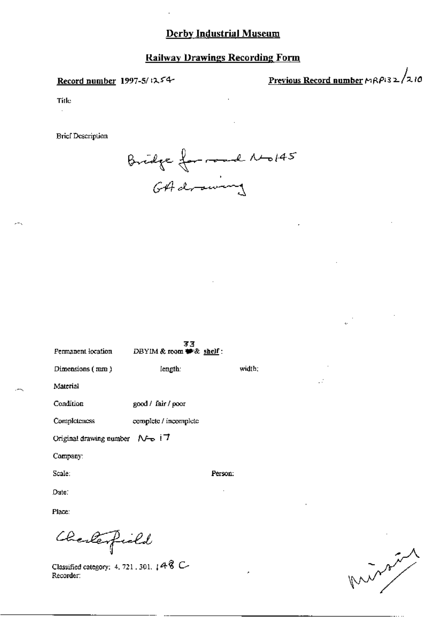## **Railway Drawings Recording Form**

#### Record number 1997-5/1254-

Previous Record number  $P(32/210)$ 

Title

**Brief Desemption** 



| Permanent location                                     | 33<br>DBYIM & room $#$ & shelf: |         |        |
|--------------------------------------------------------|---------------------------------|---------|--------|
| Dimensions (mm)                                        | length:                         |         | width: |
| Material                                               |                                 |         |        |
| Condition                                              | good / fair / poor              |         |        |
| Completeness                                           | complete / incomplete           |         |        |
| Original drawing number $\mathcal{N}$ $\rightarrow$ 17 |                                 |         |        |
| Company:                                               |                                 |         |        |
| Scale:                                                 |                                 | Person: |        |
| Date:                                                  |                                 |         |        |

Place:

Charlespield

Classified category: 4, 721, 301,  $[48 \text{ C}$ Recorder:

maring the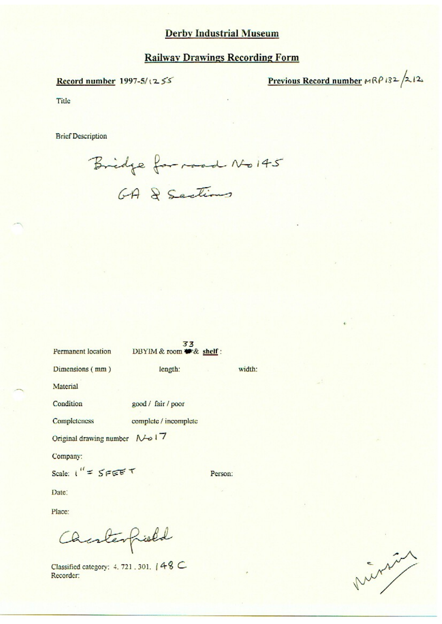Record number 1997-5/1255

Previous Record number  $MRP$ 132/2121

Title

**Brief Description** 

Bridge for road No 145

| Permanent location                    | د د<br>DBYIM & room # & shelf: |         |        |
|---------------------------------------|--------------------------------|---------|--------|
| Dimensions (mm)                       | length:                        |         | width: |
| Material                              |                                |         |        |
| Condition                             | good / fair / poor             |         |        |
| Completeness                          | complete / incomplete          |         |        |
| Original drawing number $\sqrt{6}$ 17 |                                |         |        |
| Company:                              |                                |         |        |
| Scale: $1'' = 5FEET$                  |                                | Person: |        |
|                                       |                                |         |        |

Date:

Place:

Charlespield

Classified category: 4, 721, 301, 148 C Recorder:

mining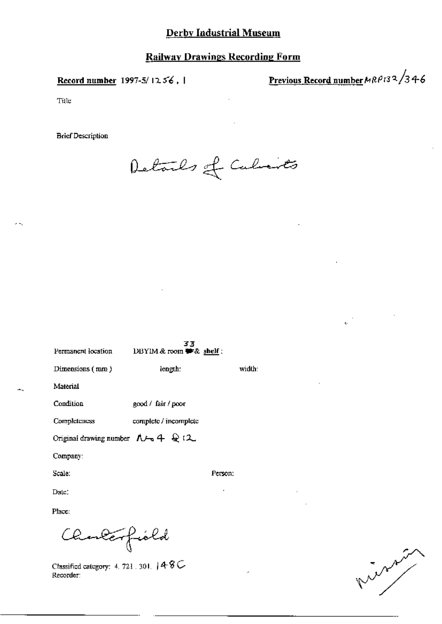Record number 1997-5/1256, 1

Previous Record number MRP132/346

 $\epsilon_{\rm f}$ 

Title

**Brief Description** 

Details of Cubinets

| Permanent location                                          | 33<br>DBYIM & room 書& shelf: |         |
|-------------------------------------------------------------|------------------------------|---------|
| Dimensions $(mn)$                                           | length:                      | width:  |
| Material                                                    |                              |         |
| Condition                                                   | good / fair / poor           |         |
| <b>Completeness</b>                                         | complete / incomplete        |         |
| Original drawing number $\Lambda \rightarrow 4\text{ }Q$ (2 |                              |         |
| Company:                                                    |                              |         |
| Scale.                                                      |                              | Person: |
| Date:                                                       |                              | ٠       |
| Place:                                                      |                              |         |

minute of

Classified category: 4, 721, 301,  $48C$ Recorder:

Charlesfield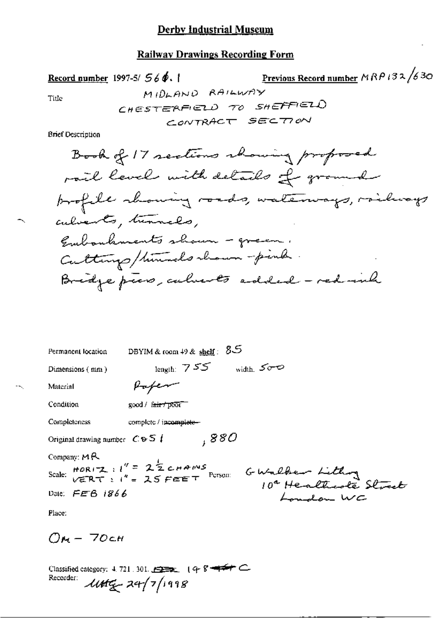### **Railway Drawings Recording Form**

Record number 1997-5/ $56\phi$ .

Previous Record number  $MRPI32/630$ 

Title

**Brief Description** 

| Permanent location                                | DBYIM & room $49$ & shelf: $85$                                                                                                        |
|---------------------------------------------------|----------------------------------------------------------------------------------------------------------------------------------------|
| Dimensions (mm)                                   | length: 755<br>width $500$                                                                                                             |
| Material                                          | voren                                                                                                                                  |
| Condition                                         | $\text{good}/\text{f}$ fair $\tau$ poor                                                                                                |
| Completeness                                      | complete / incomplete-                                                                                                                 |
| Original drawing number $C \oplus S$ $\downarrow$ | ,880                                                                                                                                   |
| Company: $M \rightarrow \infty$                   |                                                                                                                                        |
|                                                   | Scale: $HOR(T_2 : 1' = 2^{\frac{1}{2}} \epsilon HAPMS$<br>$VERN(T_1 : 1' = 25 FEET$ Person:<br>GWalker Lithon<br>10ª Healthcote Street |
| Date: $FEB$ 1866                                  | oundou WC                                                                                                                              |

Place:

 $\mathbb{R}$ 

 $Q_{M}$  - 70cm

Classified category: 4.721.301. 2222 (4-8-4-4-C) Recorder  $100\frac{1}{2}$  24/7/1998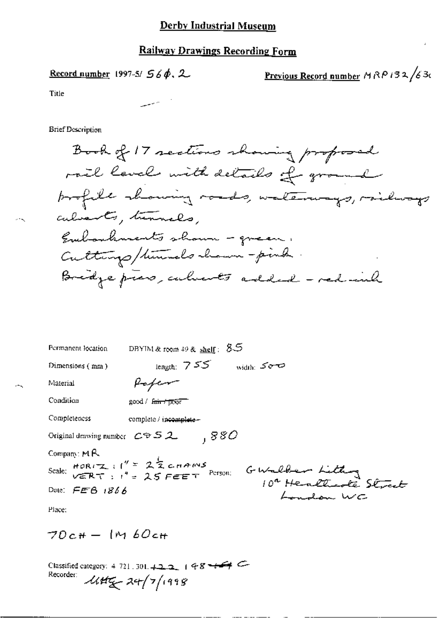Record number 1997-5/  $56\phi$ , 2

<u>Previous Record number</u>  $MRP$  132/630

Title

**Brief Description** 

Book of 17 sections showing proposed rail level with details of ground brofile showing roads, waterways, railways calvarts, turnels, Embankments shown - green. Cuttungs/times lo chann-pink Bridge pres, culments added - red inh

| Permanent location                     | DRYIM & room 49 & shelf: $8-5$                                                                                                      |
|----------------------------------------|-------------------------------------------------------------------------------------------------------------------------------------|
| Dimensions (mm)                        | length: $755$<br>width: $500$                                                                                                       |
| Material                               | <i>Hoter</i>                                                                                                                        |
| Condition                              | good / Fair + poor                                                                                                                  |
| Completeness                           | complete / incomplete -                                                                                                             |
| Original drawing number $C \oplus S$ 2 | .880                                                                                                                                |
| Company: $M R$                         |                                                                                                                                     |
|                                        | Company: $mR$<br>Scale: $mR$ $T$ : $1'' = 2\frac{1}{2}$ contras<br>Scale: $nR$ $T$ : $1'' = 25$ FEET Person: G Walker Little Street |
| Date: $FEB$ 1866                       | whom WC                                                                                                                             |
| Place:                                 |                                                                                                                                     |

 $70c + 1Mb0c +$ 

Classified category: 4-721 . 301.  $+2.2$ ,  $+9.8 + 7$ Recorder:  $445 - 24/7/1998$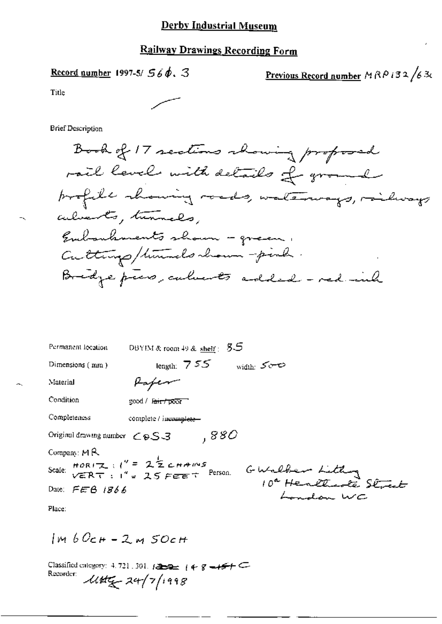Record number 1997-5/  $56\phi$ , 3

<u>Previous Record number</u>  $M$   $R$   $P$   $i$   $3$   $2$   $/$   $6$   $3$ c

Title

**Brief Description** 

Book of 17 sections abouring proposed rail level with details of ground profile showing roads, waterways, miliways alverts, tunnels, Embankments shown - green. Culturys/times lo chann-pinh. Bridge press, calverts added - red with

| Permanent location                                                                                        | DBYIM & room 49 & shelf: $55$ |  |
|-----------------------------------------------------------------------------------------------------------|-------------------------------|--|
| Dimensions (mm)                                                                                           | length: $755$<br>width: Sere  |  |
| Material                                                                                                  | Hapen                         |  |
| Condition                                                                                                 | good / l <del>air/poor</del>  |  |
| Completeness                                                                                              | complete / incomplete-        |  |
| Original drawing number $\epsilon$ $\epsilon$ S 3                                                         | .880                          |  |
| Company: $M R$                                                                                            |                               |  |
| Scale: $HOR(T_1, t'') = 2\frac{1}{2}CHAMS$<br>$VERN(T_1, t'') = 25FEET$ Person.<br>GWalbert Lithon Street |                               |  |
| Date: $FERB$ 1866                                                                                         | don WC                        |  |
|                                                                                                           |                               |  |

Place:

 $ImbOcH - 2MSOcH$ 

Classified category: 4.721.301.  $1222 - 1488 - 157$ Recorder:  $1145 - 24/7/1998$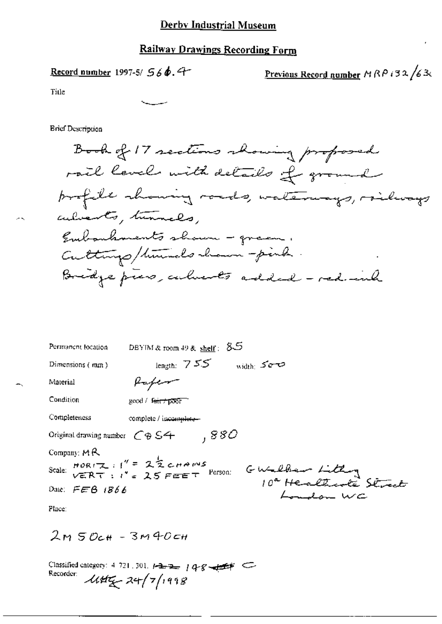Record number 1997-5/ 566.4

<u>Previous Record number</u>  $MRP$  i 32  $/63$ 

Title

**Brief Description** 

Book of 17 sections showing proposed rail levels with details of ground profile channing roads, waterways, railways adverts, turnels. Embarbanents shown - green. Culturys/times chann-pink. Bridge press, culments added - red inh

| Permanent location                                        | DBYIM & room 49 & shelf: $85$                                                                                                       |
|-----------------------------------------------------------|-------------------------------------------------------------------------------------------------------------------------------------|
| Dimensions (mm)                                           | length: $755$<br>width: 500                                                                                                         |
| Material                                                  | Kaper                                                                                                                               |
| Condition                                                 | good / Feirt poor                                                                                                                   |
| Completeness                                              | complete / incomplete-                                                                                                              |
| Original drawing number $\bigcirc$ $\circ$ S <sup>4</sup> | ,880                                                                                                                                |
| Company: $M R$                                            |                                                                                                                                     |
|                                                           | Scale: $\frac{\text{HOR}(\pm)}{\sqrt{\epsilon}RT + t} = \frac{1}{\sqrt{\epsilon}} \sum_{i=1}^{n} \frac{1}{\sqrt{\epsilon}}$ Person: |
| Date: $FEB$ 1866                                          | GWalker Lithon<br>10ª Healthcole Street<br>London WC                                                                                |
| Place:                                                    |                                                                                                                                     |

 $2m50c$ H - 3M40cH

Classified category: 4-721, 301, 1-2-2-148-8-4-4-4-Recorder:  $144\frac{1}{2}7/1998$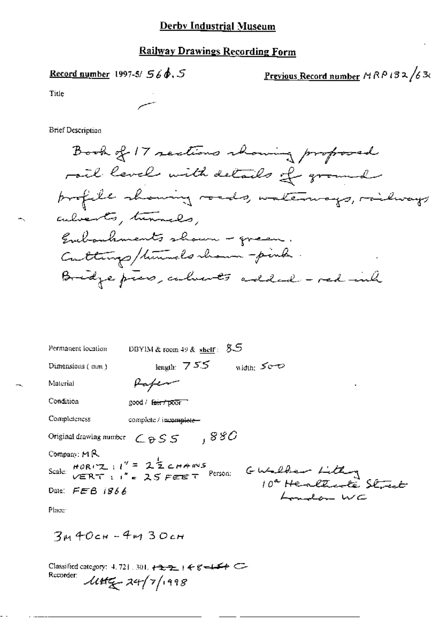#### **Railway Drawings Recording Form**

Record number 1997-5/  $56\phi$ ,  $5$ 

<u>Previous Record number</u>  $MRPI32/63$ 

Title

**Brief Description** 

Book of 17 sections showing proposed rail level with details of ground profile showing roads, waterways, michways culvents, tunnels, Embouhments shown - green. Culturys/himmals whom - pink Bridge press, calverts added - red inh

| Permanent location        | DBYIM & room 49 & shelf: $85$                                                                                               |
|---------------------------|-----------------------------------------------------------------------------------------------------------------------------|
| Dimensions (mm)           | length: $755$<br>width: Sero                                                                                                |
| Material                  | ٠                                                                                                                           |
| Condition                 | $good /$ fair $\tau$ poor                                                                                                   |
| Completeness              | complete / incomplete-                                                                                                      |
|                           | Original drawing number $\mathcal{L}_{\Theta}$ S S $\Box$ , $880$                                                           |
| Company: $M$ $\mathbb{R}$ |                                                                                                                             |
|                           | Company: $PIN$<br>Scale: $HORIZ: l'' = 2\frac{1}{2}CHPINS$<br>Scale: $VERT: l'' = 2SFEET$ Person: $GMLQBear$ Littley Street |
| Date: FEB 1866            |                                                                                                                             |
| Distances of the U.S.     |                                                                                                                             |

Place:

 $3440c$ H - 4M  $30c$ H

Classified category: 4, 721, 301,  $\leftarrow 2, -2$  +  $\leftarrow 8, -4, -4$ Recorder:  $445 - 24/7/1998$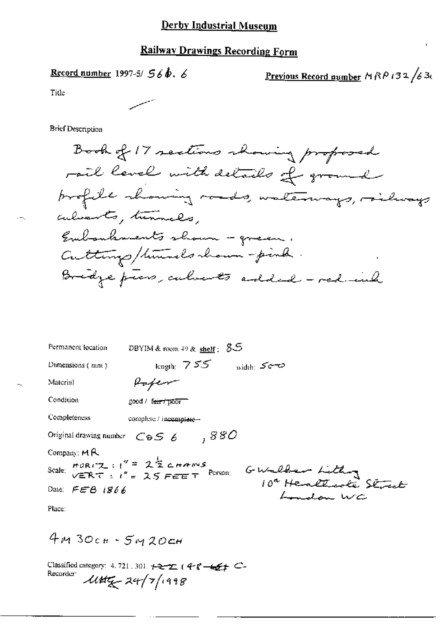# **Railway Drawings Recording Form**

Record number 1997-5/  $56b.6$ 

Previous Record number MRP 132/630

Title

**Brief Description** 

Book of 17 sections showing proposed rail level with details of ground profile chancing roads, waterways, railways culvents, turnals. Embankments shown - green, Culturys/timels chown-pink Bridge piers, calvests added - red ind

| Permanent location                                               | DBYIM & room 49 & shelf: $85$                                                                                                   |
|------------------------------------------------------------------|---------------------------------------------------------------------------------------------------------------------------------|
| Dumensions (mm)                                                  | $_{\rm length}$ 755<br>width: Somo                                                                                              |
| Material                                                         |                                                                                                                                 |
| Condition                                                        | good / fair / poor                                                                                                              |
| Completeness                                                     | complete / incomplete                                                                                                           |
| Original drawing number $C\oplus S$ $\delta$                     | ,880                                                                                                                            |
| Company: MR                                                      |                                                                                                                                 |
|                                                                  | Scale: $HOR(TZ : 1^{\prime\prime} = 2\frac{1}{2}C HAMS$<br>$VERNT : 1^{\prime\prime} = 25 FET$ Person:<br>GWalber Lithon Street |
| Date: $FEB$ 1866                                                 |                                                                                                                                 |
| $\mathbf{D}$ $\mathbf{L}$ $\mathbf{L}$ $\mathbf{L}$ $\mathbf{L}$ |                                                                                                                                 |

Place:

 $4M3Ocm - 5M2Ocm$ 

Classified category: 4.721.301. +2-2. (4-8-42+ C-Recorder  $1145 - 24/7/1998$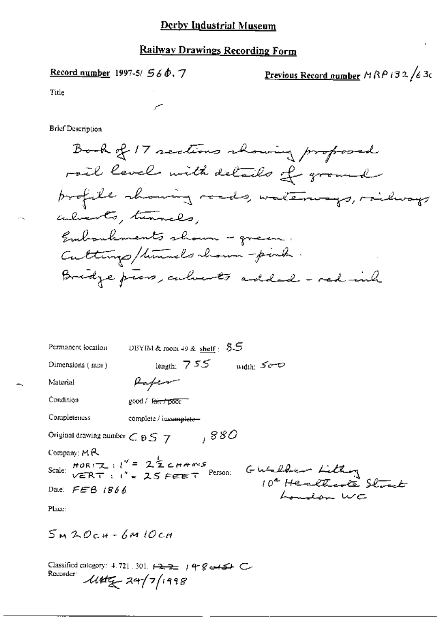#### Railway Drawings Recording Form

Record number 1997-5/  $560.7$ 

<u>Previous Record number</u>  $MRP$  i 32  $/$ 63c

Title

**Brief Description** 

Book of 17 sections showing proposed rail level with details of ground profile showing reads, waterways, railways culverts, tunnels. Embankments shown - green. Culturys/times chown-people. Bridge piers, culients added - red inh

| Permanent location                                                      | DBYIM & room 49 & shelf : $55$                                                                                                                                 |
|-------------------------------------------------------------------------|----------------------------------------------------------------------------------------------------------------------------------------------------------------|
| Dimensions (mm)                                                         | length: $755$<br>width: So-O                                                                                                                                   |
| Material                                                                | Hafem                                                                                                                                                          |
| Condition                                                               | good / fair / poor                                                                                                                                             |
| Completeness                                                            | complete / incumplete-                                                                                                                                         |
| Original drawing number $\mathcal{L} \otimes \mathcal{S}$ $\mathcal{I}$ | ,880                                                                                                                                                           |
| Company: $M \mathcal{R}$                                                |                                                                                                                                                                |
|                                                                         | Scale: $HOR(T_{\text{max}}; l^{\prime\prime} = 2\frac{1}{2} \text{C} HAM^{\prime\prime}S$<br>$VERN(T = l^{\prime\prime} = 2S FEE T$ Person:<br>GWalker Litting |
| Date: $FEB$ 1866                                                        |                                                                                                                                                                |
| DL                                                                      |                                                                                                                                                                |

Place:

 $5M2OCH - 6M1OCH$ 

Classified category: 4.721.301.  $\overline{1272}$   $198$  extract C Recorder  $445 - 24/7/1998$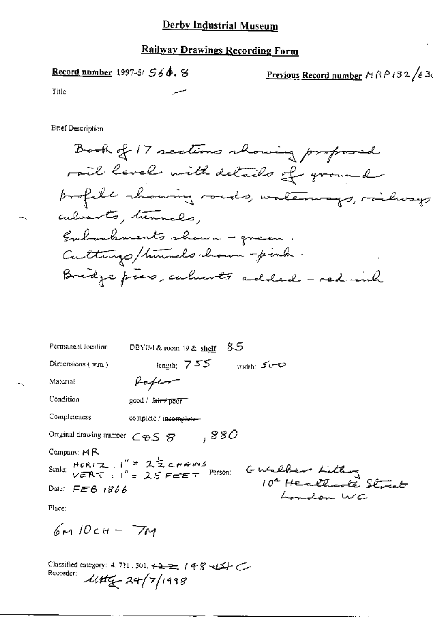# **Railway Drawings Recording Form**

Record number 1997-5/  $56$ ,  $8$ 

Previous Record number  $M \wedge P$  i 32 /630

Title

**Brief Description** 

Book of 17 sections showing proposed rail level with details of ground profile chawing roads, waterways, miliways culments, turnals, Embankments shown - green. Cuttings/timeds chain - pink. Bridge press, calments added - red with

| Permanent location                                                     | DBYIM & room 49 & shelf. | 85          |                                                                                                               |
|------------------------------------------------------------------------|--------------------------|-------------|---------------------------------------------------------------------------------------------------------------|
| Dimensions $(mn)$                                                      | length: $755$            | width $500$ |                                                                                                               |
| Material                                                               | <i><b>Kaferr</b></i>     |             |                                                                                                               |
| Condition                                                              | good / Friend poor       |             |                                                                                                               |
| Completeness                                                           | complete / incomplete-   |             |                                                                                                               |
| Ortginal drawing number $\mathcal{L} \oplus \mathcal{S}$ $\mathcal{B}$ | ,880                     |             |                                                                                                               |
| Company: $M R$                                                         |                          |             |                                                                                                               |
|                                                                        |                          |             | Company $ms$<br>Scale: $HORIZ: I'' = 2\frac{1}{2}cnRMS$<br>Person: $GWallkem Lilda$<br>$I04 Heallkachk 56meb$ |
| Date: $FETB$ 1866                                                      |                          |             | don WC                                                                                                        |
| Place:                                                                 |                          |             |                                                                                                               |

 $6M10CH-7M$ 

Classified category: 4.721.501. +2== (4-8  $\leq L$ Recorder:  $\mathcal{L}(\mathcal{H}_{\mathcal{K}}^{\mathcal{L}})$  24/7/1998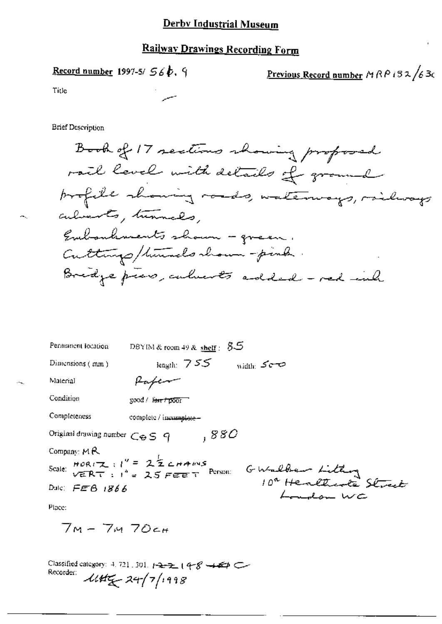## **Railway Drawings Recording Form**

Record number 1997-5/  $56b$ , 9

Previous Record number MRP 132/630

Title

**Brief Description** 

Book of 17 sections showing proposed rail level with details of ground profile showing roads, waterways, railways culverts, turnals, Eubouhments shown - green. Cuttings/times chown-pink. Bridge press, culments added - red inh

| Permanent location                     | DBYIM & room 49 & $\frac{\text{sheff}}{2}$ : $85$                            |
|----------------------------------------|------------------------------------------------------------------------------|
| Dimensions (mm)                        | length: $755$<br>width: Somo                                                 |
| Material                               |                                                                              |
| Condition                              | good / fair / poor                                                           |
| Completeness                           | complete / incomplate -                                                      |
| Original drawing number $C \oplus S$ 9 | ,880                                                                         |
| Company: $M$ $R$ .                     |                                                                              |
|                                        | Scale: $HOR(T_1, 1) = 2\frac{1}{2}C HAMS$<br>$VERNT : 1^4 = 25 FEFT$ Person: |
| Dulc: $FEB$ 1866                       | GWalber Lithon<br>10ª Henltwole Street                                       |
| Place:                                 |                                                                              |

 $7M - 7M$  70 $cm$ 

Classified category: 4, 721, 301,  $1 - 2 - 2 - 1$   $4 - 8 - 4 - 4 = 0$ Recorder: 1145 24/7/1998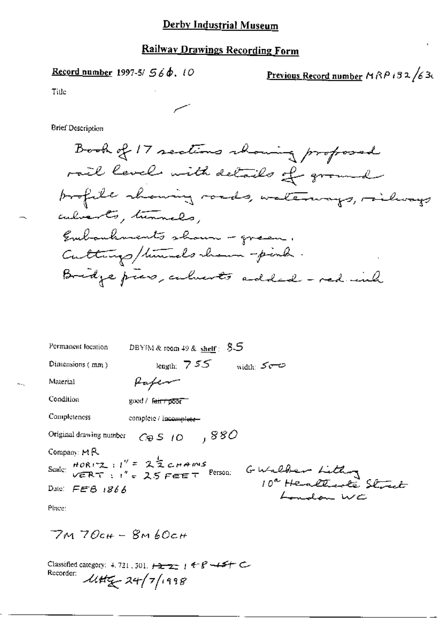### **Railway Drawings Recording Form**

Record number 1997-5/  $56\phi$ , 10

Previous Record number MRP i 32/630

Title

**Brief Description** 

Book of 17 sections whoming proposed rail levels with details of ground profile chancing roads, waterways, roilways culverts, tunnels, Embankments shown - green. Culturys/times how -pinh. Bridge pres, calverts added - red inh

| Permanent location      | DBYIM & room 49 & shelf: $8-5$                                                                     |
|-------------------------|----------------------------------------------------------------------------------------------------|
| Dimensions (mm)         | length: $755$<br>width: $5 - 3$                                                                    |
| Material                | taten                                                                                              |
| Condition               | guod / fan 11000F                                                                                  |
| Completeness            | complete / incomplete-                                                                             |
| Original drawing number | $C_{\Theta}S$ 10 $-$ , $880$                                                                       |
| Company: MR             |                                                                                                    |
|                         | Scale: $HOR(Z)$ : $I'' = 2\frac{1}{2}CHAMS$<br>VERT : $I'' = 2.5 FETERT$ Person:<br>GWalder Lithog |
| Date: $FEB$ $1866$      | don wc                                                                                             |
| Place:                  |                                                                                                    |

 $7M70cH - 8M60cH$ 

Classified category: 4.721, 301,  $\frac{1}{2}$  =  $\frac{1}{2}$  +  $\frac{1}{2}$  +  $\frac{1}{2}$  +  $\frac{1}{2}$  +  $\frac{1}{2}$ Recorder:  $\mathcal{U}\sharp\sharp_{\mathcal{K}}$  24/7/1998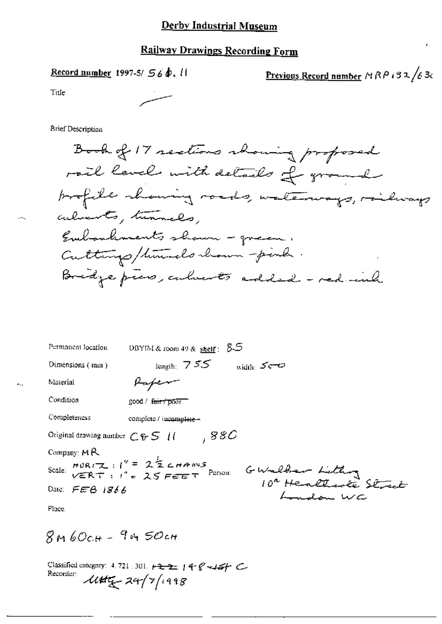## **Railway Drawings Recording Form**

Record number 1997-5/ 56  $\phi$ , il

<u>Previous Record number</u>  $MRP$  i 32/63c

Title

**Brief Description** 

Book of 17 sections showing proposed rail levels with details of ground brofile showing roads, waterways, railways culvents, tunnels, Embouhments shown - green. Culturys/timedo chann-pinh. Bridge press, culverts added - red inh

| Permanent location                      | DBYIM & room 49 & shelf: $5-5$                                                                             |
|-----------------------------------------|------------------------------------------------------------------------------------------------------------|
| Dimensions (mm)                         | length: $755$<br>width: $5 - 3$                                                                            |
| Material                                |                                                                                                            |
| Condition                               | good / fair 7 poor                                                                                         |
| Completeness                            | complete / incomplete -                                                                                    |
| Original drawing number $C \oplus S$ if | ,88C                                                                                                       |
| Company: $M \mathcal{R}$                |                                                                                                            |
|                                         | Scale: $HOR(T_{\text{A}} : 1^9 = 2\frac{1}{2} \text{C} HANS$<br>$VERN(T : 1^9 = 25 FERT$<br>GWalder Lithon |
| Date: $FEG$ 1866                        | سلمد لملاث                                                                                                 |
| Place.                                  |                                                                                                            |

 $8M60cH - 9M50cH$ 

Classified category: 4.721.301.  $\rightarrow 22$  | 4  $\rightarrow$  -15/ Recorder:  $144\frac{1}{2}7/1998$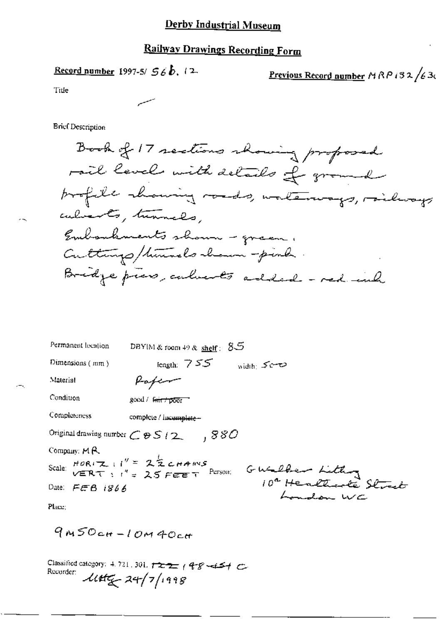## **Railway Drawings Recording Form**

Record number 1997-5/ 
$$
56b
$$
, 12-

Previous Record number 
$$
MP
$$
  $132$  /63 $\epsilon$ 

Title

**Brief Description** 

Book of 17 sections showing proposed rail levels with details of ground profile chancing roads, waterways, railways culverts, tunnels, Embankments shown - green, Culturys/times lo chann-pinh. Bridge pros, culients added - red inh

| Permanent location                              | DBYIM & room 49 & shelf: $85$                                                                                                           |
|-------------------------------------------------|-----------------------------------------------------------------------------------------------------------------------------------------|
| Dimensions (mm)                                 | length: $755$<br>width: Se-O                                                                                                            |
| Material                                        | faferr                                                                                                                                  |
| Condition                                       | good / fair / poor                                                                                                                      |
| Completeness                                    | complete / incomplate-                                                                                                                  |
| Original drawing number $C \otimes S$ (2.       | ,880                                                                                                                                    |
| Company: $M \uparrow \hspace{-.07cm}\mathsf{R}$ |                                                                                                                                         |
|                                                 | Company: MRIZ : $1'' = 2\frac{1}{2}$ cHAMS<br>Scale: VERT : $1'' = 25$ FEET Purson: GWalber Littley<br>10 <sup>4</sup> Healthate Street |
|                                                 | $\frac{1}{2}$                                                                                                                           |
| Place:                                          |                                                                                                                                         |

 $9m50cm-l$  OM  $40cm$ 

Classified category: 4, 721, 301,  $\frac{1}{2}$ ,  $\frac{1}{2}$  ( $\frac{2}{3}$  +  $\frac{1}{2}$ ) Recorder:  $144\frac{1}{14}$   $24/7/1998$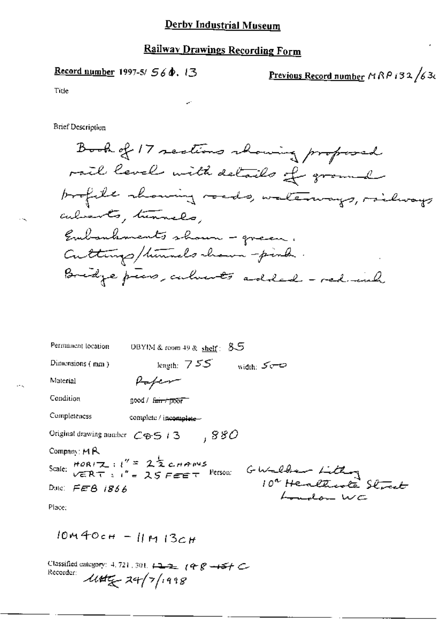# **Railway Drawings Recording Form**

Record number 1997-5/  $56\phi$ , 13

Previous Record number MRP 132/630

Title

**Brief Description** 

Book of 17 sections showing proposed rail level with details of ground profile showing roads, waterways, railways culments, turnels, Embankments shown - green. Cuttings/himsels chann-pink. Bridge piers, culments added - red ind

| Permanent location                      | DBYIM & room 49 & shelf: $35$                                                                                          |
|-----------------------------------------|------------------------------------------------------------------------------------------------------------------------|
| Dimensions (mm)                         | length: $755$<br>width: 500                                                                                            |
| Material                                | Kafem                                                                                                                  |
| Condition                               | good / farry poor                                                                                                      |
| Completeness                            | complete / incomplete                                                                                                  |
| Original drawing number $C\oplus$ 5 / 3 | .880                                                                                                                   |
| Company: $M R$                          |                                                                                                                        |
|                                         | Company Mr.<br>Scale: $HORIZ: l'' = 2\frac{1}{2}c$ nANS<br>Scale: VERT: l'' = 25 FEET Pressen: GWaldear Lútlande Skræt |
|                                         |                                                                                                                        |
| Place:                                  |                                                                                                                        |

 $10m40cH - 11m13cH$ 

Classified category: 4, 721, 301,  $\overline{122}$ ,  $\overline{12}$  ( $\overline{12}$   $\overline{12}$ ) Recorder:  $1145 - 24/7/1998$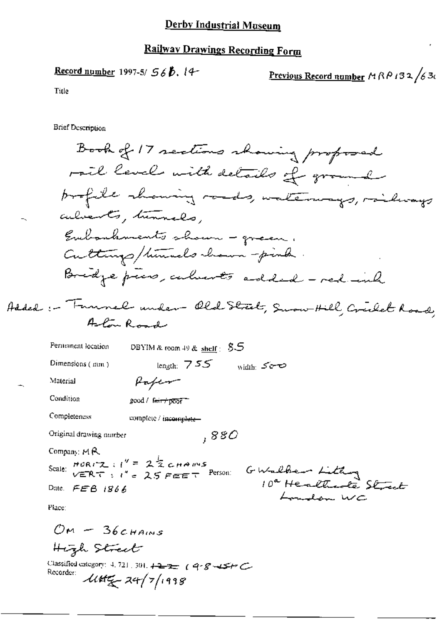# Railway Drawings Recording Form

Record number 1997-5/ 
$$
56\beta
$$
, 14-

Previous Record number 
$$
MPRPA32/636
$$

Title

**Brief Description** 

High Street

Classified category: 4, 721, 301,  $\overline{122}$  (9.8 -15+C)<br>Recorder:  $\mathcal{U}4f\mathcal{L}$  24/7/1998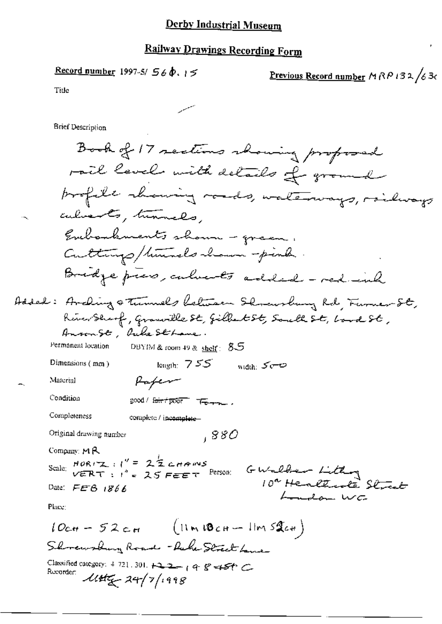# Railway Drawings Recording Form

سيمد

Previous Record number 
$$
MP132/63c
$$

ł

Title

**Brief Description** 

 $-$ 

 $\ddotsc$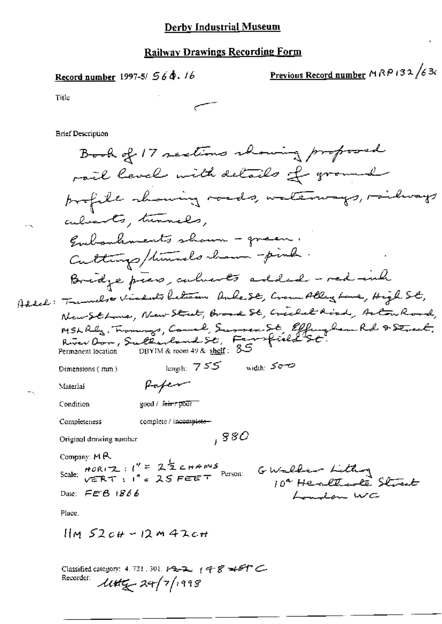Record number 1997-5/  $56\,\Phi$ . 16

Previous Record number  $A \wedge B$  i 32 /630

Title

**Brief Description** 

Book of 17 sections chairing proposed rail level with details of ground profile showing roads, waterways, railways culverts, tunnels. Eubankments shown - green. Culturys/times chann-pink. Bridge piers, culments added - red inh Addel: Trumels visdents between Anke St, Crown Alley Lone, High St, New Sthone, New Street, Broad St, Creeket Road, Arton Road, MSL Rly, Fromways, Comel, Survey St, Effengham Rd & Street.<br>River Oor, Sultanland St, Famfield St.<br>Permanen location DBYIM& room 49 & s<u>helt</u>: 85 Permanent location length:  $755$  width:  $500$ Dimensions (mm) Rapen Material Condition good / fair / poor complete / incomplete-Completeness  $,880$ Original drawing number Company: MR Scale:  $HOR(T2 : l'' = 2\frac{1}{2}CHANS$ <br>Scale:  $VERNT : l'' = 25 FEET$  Person:  $G-Wallber-Lifting$ 10ª Healtrack Street Date:  $EEB$   $1866$ Landon WC Place.  $\lim_{x \to 2c}$   $\mu$  - 12 m 42c+ Classified category: 4, 721, 301,  $P3-2$ ,  $q$  of  $8-45T$ 

Recorder:  $\mathcal{U}$ tt $\mathcal{F}$  24/7/1998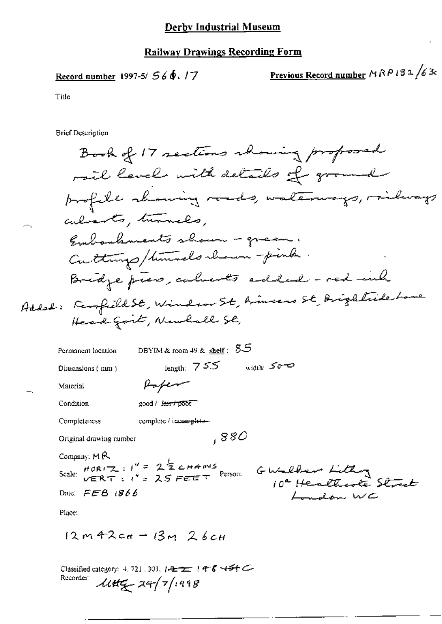### Record number 1997-5/  $560.17$

Previous Record number  $\triangle R$   $\triangle B$   $\triangle$   $\triangle$  3c

Title

**Brief Description** 

 $12m + 2c_{H} - 13m$  26cH

 $\ddot{\phantom{0}}$ 

Classified category: 4, 721, 301,  $1-2$  1 4 8 454 C<br>Recorder:  $\mathcal{U}HZ = 24/7/1998$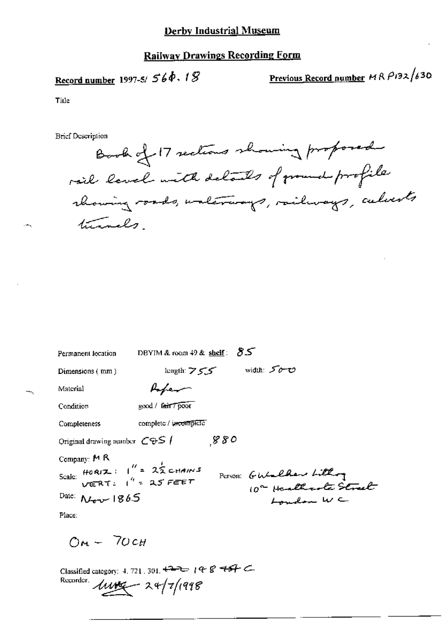# Record number 1997-5/ $56\phi$ ,  $18$

Previous Record number  $MRP132/630$ 

Title

 $-$ 

**Brief Description** 

Book of 17 sections showing proposed rail level with details of ground profile rhowing roads, unterways, railways, culverts turnels.

| Permanent location                                              | DBYIM & room $49$ & shelf: $85$         |
|-----------------------------------------------------------------|-----------------------------------------|
| Dimensions (mm)                                                 | width: 50-0<br>$length: Z \subsetneq Z$ |
| Material                                                        | Hoper                                   |
| Condition                                                       | good / fair 7 poor                      |
| Completeness                                                    | complete / incorrigional                |
| Original drawing number $\mathcal{C} \oplus \mathcal{S}$ /      | 880                                     |
| Company: $M R$                                                  |                                         |
| Scale: $HORIZ: I'' = 2ZCDIANIS$<br>Scale: $VERT: I'' = 2S FEFF$ | Person: Gulalder Lithog                 |
| Date: $N_{\text{grav}}$ 1865                                    | London WC                               |
| Place:                                                          |                                         |

 $O_M - 70c$ 

Classified category: 4, 721, 301,  $\leftarrow$  - 19 8 457 C Recorder.  $1000 - 24/7/1998$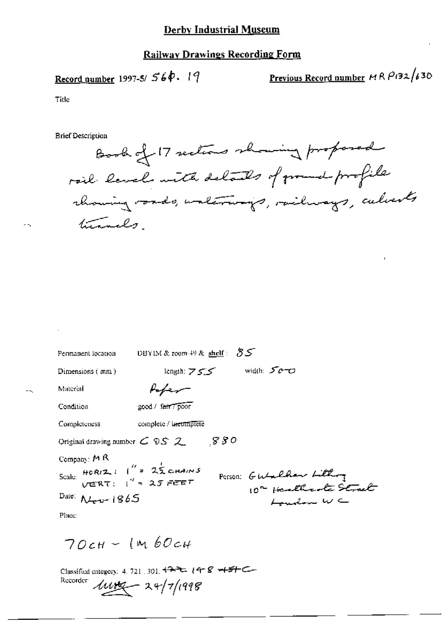# Record number 1997-5/ $560.19$

<u>Previous Record number</u>  $MRP$ (32/630)

Title

**Brief Description** 

Book of 17 sections showing proposed rail laval with details of ground profile chancing roads, unlerways, railways, culverts turnels.

| Permanent location                                       | <b>DBYIM &amp; room 49 &amp; shelf</b> : $85$ |      |                        |
|----------------------------------------------------------|-----------------------------------------------|------|------------------------|
| Dimensions $(mn)$                                        | length: $755$                                 |      | width: $500$           |
| Material                                                 |                                               |      |                        |
| Condition                                                | 200d / farr poor                              |      |                        |
| Completeness                                             | complete / incomplete                         |      |                        |
| Original drawing number $C \otimes S$ 2                  |                                               | 88 O |                        |
| Company: $M R$                                           |                                               |      |                        |
| Scale: $HORIZ: I'' = 25$ CHAINS<br>VERT: $I'' = 25$ FEET |                                               |      | Person: GWalker Lithog |
| Date: $\mathcal{N}_{\text{grav}}$ 1865                   |                                               |      | لمستدينك لملائك        |
| Place:                                                   |                                               |      |                        |

 $70cH - 1460cH$ 

Classified category: 4, 721, 301, 422, 14-8 +5+C Recorder  $100 - 24/7/1998$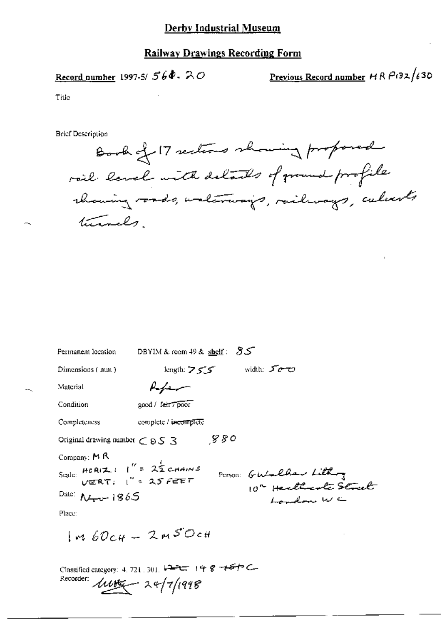Record number 1997-5/ $560 - 20$ 

Previous Record number HR P132/630

Title

**Brief Description** 

Book of 17 sections showing proposed rail land with delands of ground profile rhaming roads, walerways, railways, calcerts turnals.

| Permanent location                                                                                   | DBYIM & room 49 & shelf: $55$ |                                     |
|------------------------------------------------------------------------------------------------------|-------------------------------|-------------------------------------|
| Dimensions (mm)                                                                                      | length: $755$                 | width: 500                          |
| Material                                                                                             | Kefer                         |                                     |
| Condition                                                                                            | good / fair / poor            |                                     |
| Completeness                                                                                         | complete / incomplete         |                                     |
| Original drawing number $\subset$ 8 S $\geq$                                                         | 880                           |                                     |
| Company: MR<br>Scale: $HCR(Z)$   $'' = 2\frac{1}{2}$ CHAINS<br>Date: $N_{\text{tot}}$ 1865<br>Place: |                               | Person: GWalker Lithog<br>Landon WC |
|                                                                                                      | $m60c$ H - 2m50cH             |                                     |

Classified category: 4, 721, 301, 122 148-464 Recorder:  $118$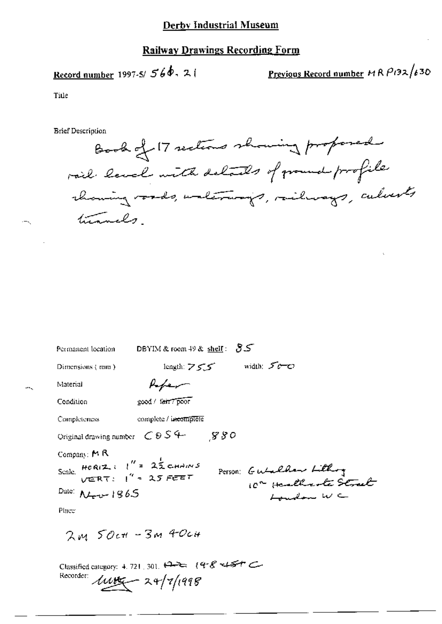Record number 1997-5/ $566 - 21$ 

Previous Record number  $MRP132/630$ 

Title

 $--$ 

**Brief Description** 

Book of 17 sections showing proposed rail land with debails of ground profile chancing voods, waterways, railways, culverts times.

| Permanent location                                                                                    | DBYIM & room 49 & shell: $55$                          |
|-------------------------------------------------------------------------------------------------------|--------------------------------------------------------|
| Dimensions (mm)                                                                                       | width: 50<br>length: $755$                             |
| Material                                                                                              |                                                        |
| Condition                                                                                             | good / fair7 poor                                      |
| Completeness                                                                                          | complete / incomplete                                  |
| Original drawing number $C \otimes S$ +                                                               | - 880                                                  |
| Company: $M$ R<br>Scale. HORIZ : $l'' = 2\frac{1}{2}$ CHAINS<br>Date: $N_{\text{grav}}$ 1865<br>Place | Person: Gutalhan Lithog<br>ر<br>ساختمان است این است که |

 $2m50c$ <sup>+</sup> -  $3m40c$ 

Classified category: 4.721, 301, 19-2: (9-8 +45+ C Recorder:  $118$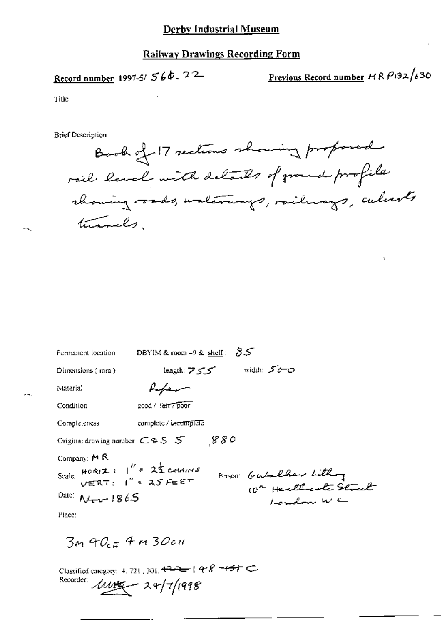### **Railway Drawings Recording Form**

Record number 1997-5/ 560. 22

Previous Record number  $MRP192/630$ 

Title

**Brief Description** 

Book of 17 sections showing proposed rail land with details of ground profile chancing rads, waterways, railways, culverts turnels.

| Permanent location                                   | DBYIM & room $49$ & shelf: $85$ |  |
|------------------------------------------------------|---------------------------------|--|
| Dimensions (mm)                                      | width: 50-0<br>length: $755$    |  |
| Material                                             |                                 |  |
| Condition                                            | good / fair / poor              |  |
| <b>Completeness</b>                                  | complete / incomplete           |  |
| Original drawing number $C \otimes S$ $S$            | 880                             |  |
| Company: $M$ R                                       |                                 |  |
| Scale: $HOR(Z) = \int_{0}^{R} = 2\frac{1}{2}$ channs | Person: Gutalher Lithog         |  |
| Date: $N_{\text{per}}$ 1865                          | Landon WC                       |  |
| Place:                                               |                                 |  |

 $3m90.74m30cm$ 

Classified category: 4, 721, 301, 422-148 -157 Recorder:  $118$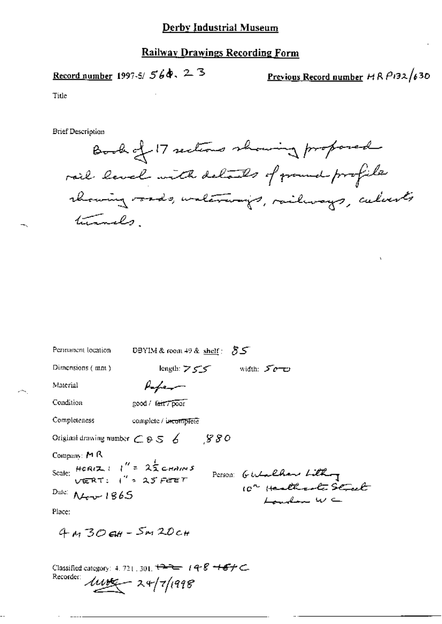### **Railway Drawings Recording Form**

### Record number 1997-5/ $560$ , 23

Previous Record number  $H R P132/630$ 

Title

**Brief Description** 

Book of 17 sections showing proposed rail level with details of ground profile rhowing roads, unterways, railways, calvests turnels

| Permanent location                                                                                                                                                | DBYIM & room 49 & shelf: $55$ |                                       |
|-------------------------------------------------------------------------------------------------------------------------------------------------------------------|-------------------------------|---------------------------------------|
| Dimensions (mm)                                                                                                                                                   | length: $\geq$ $\leq$ $\leq$  | width: 500                            |
| Material                                                                                                                                                          | fafer                         |                                       |
| Condition                                                                                                                                                         | good / fair / poor            |                                       |
| Completeness                                                                                                                                                      | complete / incomplete         |                                       |
| Original drawing number $\subset$ $9.5\measuredangle$                                                                                                             | -880                          |                                       |
| Company: $M R$<br>Scale: $HCRIZ \perp \parallel'' = 2\frac{1}{2}c_{HMIN}$<br>VERT: $\parallel'' > 25$ FeET<br>Date: $\Lambda$ <sub>tr</sub> $\sim$ 1865<br>Place: |                               | Person: Gutalhan Lithog<br>Landon W C |
| $4M304+5M20c$                                                                                                                                                     |                               |                                       |

Classified category: 4, 721, 301,  $\overbrace{1222}$   $148$   $\overbrace{167}$   $\subset$ Recorder:  $\mu v = 24/7/1998$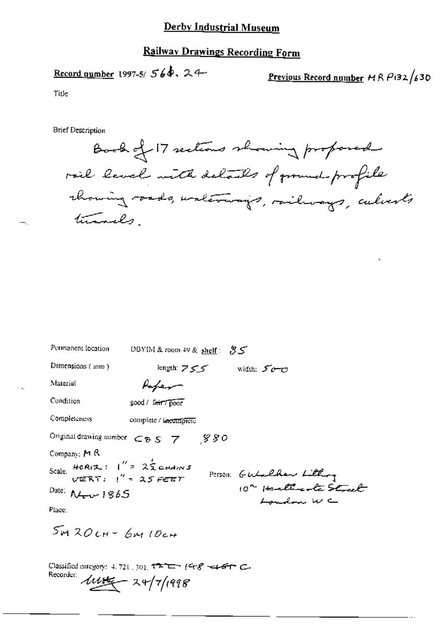### **Railway Drawings Recording Form**

# Record number 1997-5/ $560.24$

Previous Record number  $MRP(32/630)$ 

Title

**Brief Description** 

Book of 17 sections showing proposed rail level with delails of ground profile chancing roads, walerways, railways, calvests turnels

| Permanent location                                                                                                                                       | DBYIM & room 49 & shelf: $35$                                             |                                                                |
|----------------------------------------------------------------------------------------------------------------------------------------------------------|---------------------------------------------------------------------------|----------------------------------------------------------------|
| Dimensions (mm)                                                                                                                                          | length: $755$ width: $500$                                                |                                                                |
| Material                                                                                                                                                 | Paper                                                                     |                                                                |
| Condition                                                                                                                                                | good / fair7 poor                                                         |                                                                |
| Completeness                                                                                                                                             | complete / incomplete                                                     |                                                                |
|                                                                                                                                                          | Original drawing number $\subset_B$ S $\rightarrow$ $\degree$ S O         |                                                                |
| Company: $M R$<br>Scale: HORIZ: $1'' = 2\frac{1}{2}$ CHAINS<br>VERT: $1'' = 25$ FEET<br>Date: $N_{\text{env}}$ 1865<br>Place:<br>$5m$ $20cm$ $6m$ $10cm$ |                                                                           | Person Gutalhow Littling<br>10" Healthante Street<br>London WC |
| Recorder:                                                                                                                                                | Classified category: 4, 721, 301, $172$ $ 148$ $   -$<br>$444 - 247/1998$ |                                                                |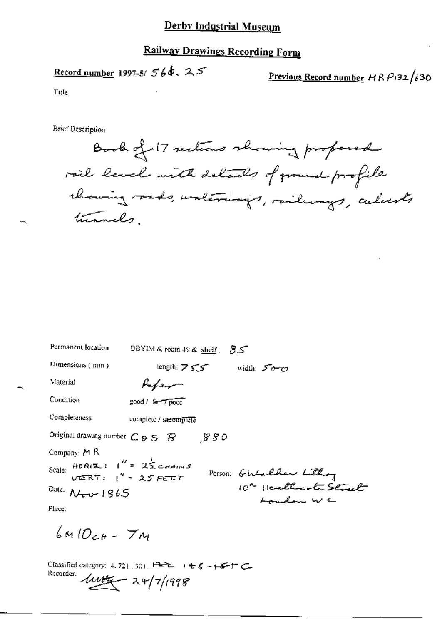# **Railway Drawings Recording Form**

# Record number 1997-5/ $56\dot{a}$ ,  $25$

Previous Record number  $ABP132/630$ 

Title

**Brief Description** 

Book of 17 sections showing proposed rail laval with delails of ground profile chancing rads, unlerways, railways, culverts turnels

| Permanent location                                                 | DBYIM&room 49& shelf: 85                                                    |
|--------------------------------------------------------------------|-----------------------------------------------------------------------------|
| Dimensions (mm)                                                    | length: $755$<br>width: 50-0                                                |
| Material                                                           | fafer                                                                       |
| Condition                                                          | good / fair7 poor                                                           |
| Completeness                                                       | complete / incomplete                                                       |
| Original drawing number $C_{\mathcal{B}} S$ $\mathcal{B}$          | 880                                                                         |
| Company: M R                                                       |                                                                             |
| Scale: HORIZ: $1'' = 2\frac{1}{2}$ CHAINS<br>VERT: $1'' = 25$ FEET |                                                                             |
| Date: $N_{\text{env}}$ 1865                                        | Person: Girlalder Littley<br>10 <sup>2</sup> Healthcote Stract<br>London WC |
| Place:                                                             |                                                                             |
| - 7 -                                                              |                                                                             |

Classified category: 4.721.301.  $H = 1 + 5 - 1 + 5$ Recorder:  $\mu \mu = 24/7/1998$ 

 $6410c + 7m$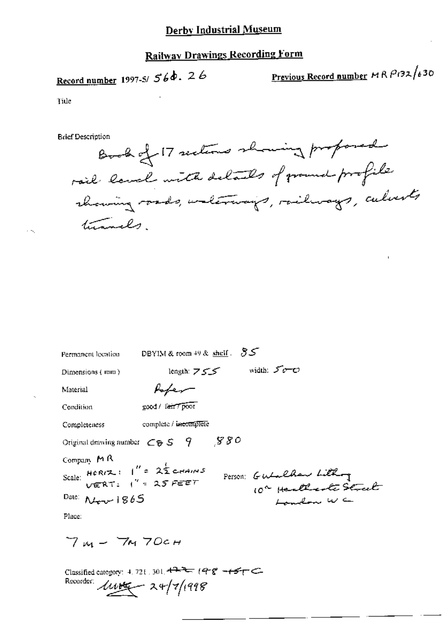# **Railway Drawings Recording Form**

# Record number 1997-5/ $560.26$

Previous Record number MR P132/630

Tide

**Brief Description** 

Book of 17 sections showing proposed rail land with delands of ground profile showing roads, waterways, railways, culverts turnals.

| Permanent location                                                                                              | DBYIM & room $49$ & shelf $35$ |                                                 |
|-----------------------------------------------------------------------------------------------------------------|--------------------------------|-------------------------------------------------|
| Dimensions (initi)                                                                                              | length: $755$                  | width: $50 - C$                                 |
| Material                                                                                                        | $k_{\text{e}}/k_{\text{v}}$    |                                                 |
| Condition                                                                                                       | good / lair7 poor              |                                                 |
| Completeness                                                                                                    | complete / incomplete          |                                                 |
| Original drawing number $\subset$ $\triangleright$ S $\cdot$ 9                                                  | - 880                          |                                                 |
| Company MR<br>Scale: $HCRIZ: I'' = 25 FEET$<br>$VERTI: I'' = 25 FEET$<br>Date: $N_{\text{grav}}$ 1865<br>Place: |                                | Person: Gutalhaw Lithog<br>10" Healtaste Street |

Classified category: 4, 721, 301, 477 (98 + 457 C Recorder:  $\mu v = x + |z|$ 1918

 $7m - 7M70c$ H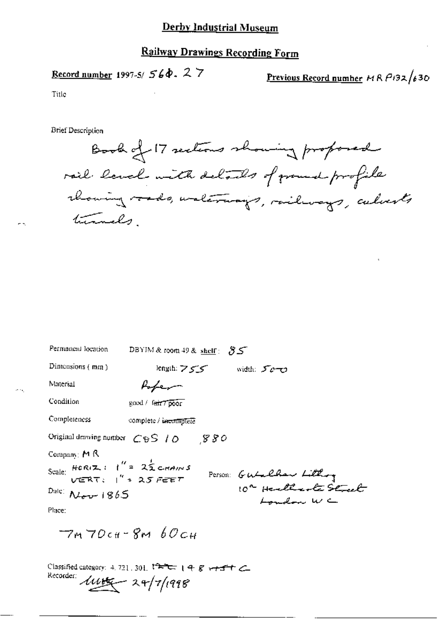### **Railway Drawings Recording Form**

# Record number 1997-5/ $560.27$

Previous Record number  $MRP/32/630$ 

Title

- 3

÷.

**Brief Description** 

Book of 17 sections showing proposed rail laval with delails of ground profile chancing rads, waterways, railways, calvests turnels

| Permanent location                                       | DBYIM & room 49 & shelf: $85$                      |                         |
|----------------------------------------------------------|----------------------------------------------------|-------------------------|
| Dimensions (mm)                                          | length: ファン                                        | width: 500              |
| Material                                                 | Popen                                              |                         |
| Condition                                                | good / fair7 poor                                  |                         |
| Completeness                                             | complete / incomplete                              |                         |
|                                                          | Original drawing number $C\oplus S$ / $O$ $S$ $SO$ |                         |
| Company: M R                                             |                                                    |                         |
| Scale: $HCR(Z)$ $I'' = 2ZCHAMS$<br>$VERT: I'' = 2S FEFF$ |                                                    | Person: Gutalhow Lithog |
| $Dale$ $N_{\text{dev}}$ 1865                             |                                                    | London WC               |
| Place:                                                   |                                                    |                         |
|                                                          | $-7m70c$ tt - 8 $MbOc$ H                           |                         |
|                                                          |                                                    |                         |

Classified category: 4, 721, 301, 17 - 198+51 Recorder  $11/1998$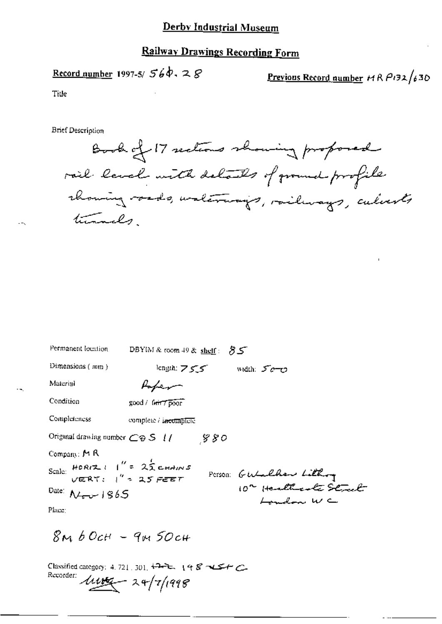# **Railway Drawings Recording Form**

Record number 1997-5/  $56\dot{\phi}$ ,  $28$ 

Previous Record number  $MRP132/630$ 

Title

**Brief Description** 

Book of 17 sections showing proposed rail land with details of ground profile chancing roads, walerways, railways, culverts turnals

| Permanent location                                        | DBYIM & room 49 & shelf: $85$          |
|-----------------------------------------------------------|----------------------------------------|
| Dimensions $(mn)$                                         | $length: Z \subseteq Z$<br>width: 50-0 |
| Material                                                  | Laber                                  |
| Condition                                                 | good / fair 7 poor                     |
| Completeness                                              | complete / incomplete                  |
| Original drawing number $\mathbb{C} \oplus \mathbb{S}$ // | -880                                   |
| Company: $M$ $R$                                          |                                        |
| Scale: $HOR(Z) = 1'' = 25$ channs                         | Person: Gutalhow Lithog                |
| Date: $N \rightarrow$ 1865                                | London WC                              |
| Place:                                                    |                                        |

 $8MbOCH - 9M5OCH$ 

Classified category: 4, 721, 301,  $\overleftrightarrow{P}$ , 1987 Recorder:  $\mu \rightarrow 24/7/1998$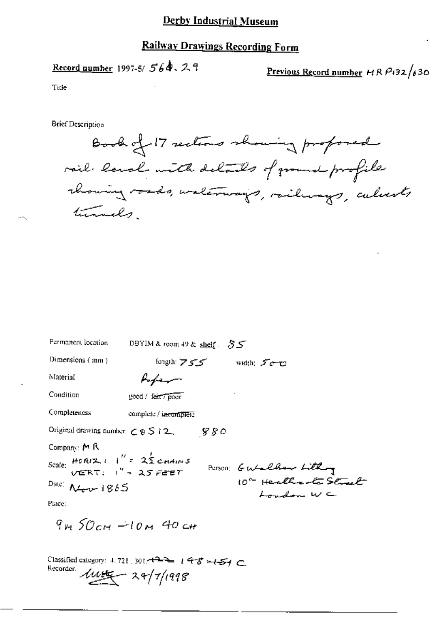### **Railway Drawings Recording Form**

Record number 1997-5/ $564.29$ 

Previous Record number  $HRRP$ 132/630

Title

**Brief Description** 

Book of 17 sections showing proposed rail land with delands of ground profile channing roads, underways, railways, calverts turnels

| Permanent location                                                  | DBYIM & room 49 & shelf $35$ |       |                        |  |
|---------------------------------------------------------------------|------------------------------|-------|------------------------|--|
| Dimensions $(mn)$                                                   | kingth: フェニ                  |       | width: $5 - 72$        |  |
| Material                                                            | fober                        |       |                        |  |
| Condition                                                           | good / fair / pour           |       |                        |  |
| Completeness                                                        | complete / incomplete        |       |                        |  |
| Original drawing number $\subset \mathfrak{G} \setminus \{2\}$ .    |                              | - 880 |                        |  |
| Company: $M$ $R$                                                    |                              |       |                        |  |
| Scale: HORIZ : $1'' = 2\frac{1}{2}$ CHAINS<br>VERT: $1'' = 25$ FEET |                              |       | PUTSON: GWalkaw Lithog |  |
| Date: $\Lambda$ <i>two-</i> $1865$                                  |                              |       | London WC              |  |
| Place:                                                              |                              |       |                        |  |

 $9m50cm - 10m$  40 cm

Classified category: 4.721.301.4334 1978 >154 C Recorder  $11/1998$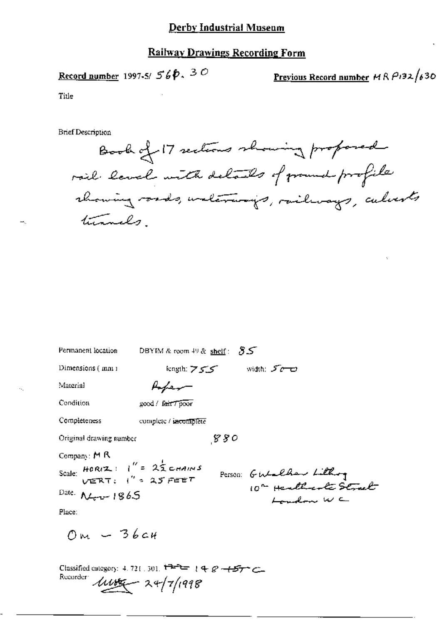### **Railway Drawings Recording Form**

$$
\underline{\text{Record number}} 1997.5 / 560.30
$$

Previous Record number 
$$
MRP132/630
$$

Title

**Brief Description** 

Book of 17 sections showing proposed rail laval with delails of ground profile rhowing roads, unterways, railways, culverts turnals

| Permanent location                                                                                                  | DBYIM & room $49$ & shelf: $55$ |     |                                     |
|---------------------------------------------------------------------------------------------------------------------|---------------------------------|-----|-------------------------------------|
| Dimensions (mm)                                                                                                     | kngth: フェニ                      |     | er width: گر                        |
| Material                                                                                                            | Hober –                         |     |                                     |
| Condition                                                                                                           | good / fair / poor              |     |                                     |
| Completeness                                                                                                        | complete / incomplete           |     |                                     |
| Original drawing rumber                                                                                             |                                 | 880 |                                     |
| Company: $M R$<br>Scale: HORIZ: $1'' = 2\frac{1}{2}$ CHAINS<br>Date: $N_{\text{c}} - 1865$<br>Place:<br>$OM - 36c4$ |                                 |     | Person: GWelher Lithog<br>Landon WC |

Classified category: 4.721.301. <sup>1727</sup> 148 - 157 C Rucarder  $\mu v = 24/7/1998$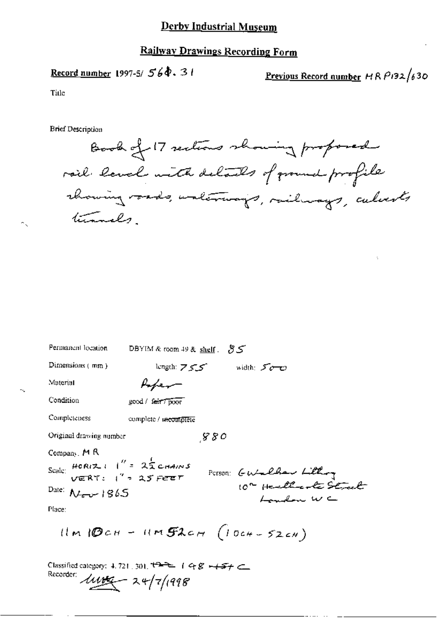### **Railway Drawings Recording Form**

# Record number 1997-5/ $560.31$

Previous Record number  $H$ R  $P$ 192/630

Title

**Brief Description** 

Book of 17 sections showing proposed rail laval with delails of ground profile rhowing vards, unterways, railways, calverts turnels

| Permanent location                                                                                                                | DBYIM & room 49 & shelf $35$                                                |
|-----------------------------------------------------------------------------------------------------------------------------------|-----------------------------------------------------------------------------|
| Dimensions $(mn)$                                                                                                                 | length: 755 width: 500                                                      |
| Material                                                                                                                          | Lfer-                                                                       |
| Condition                                                                                                                         | good / fair / poor                                                          |
| Completeness                                                                                                                      | complete / meomplete                                                        |
| Original drawing number                                                                                                           | $_{\mathcal{S}}$ 80                                                         |
| Company, MR<br>Scale: $HOR(Z) = 1'' = 25 \text{ cm}4/8$<br>VERT: $1'' = 25 \text{ FEET}$<br>Date: $N_{\text{rev}}$ 1865<br>Place: | Person: Gutalhar Littling<br>10° Health to Start<br>Landon WC               |
|                                                                                                                                   | $ilm$ $BCH - 11m$ $SLCH$ $(l$ $044 - 52cm)$                                 |
| Recorder:                                                                                                                         | Classified category: 4, 721, 301, $t^2$ + 1 4 $8 + 5 +$<br>$444 - 247/1998$ |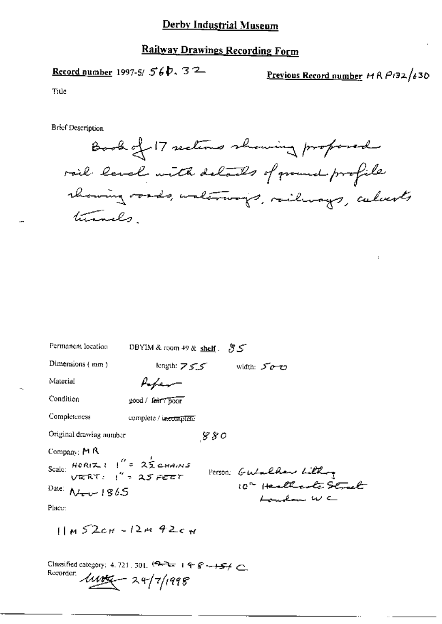### **Railway Drawings Recording Form**

# Record number 1997-5/  $56b.32$

Previous Record number  $ABP132/630$ 

Title

**Brief Description** 

Book of 17 sections showing proposed rail land with details of ground profile rhowing roads, unterways, railways, calvests turnels

| Permanent location                      | DBYIM & room 49 & shelf $55$ |     |                                      |  |
|-----------------------------------------|------------------------------|-----|--------------------------------------|--|
| Dimensions $(mn)$                       | kngth: フェニ                   |     | width: 500                           |  |
| Material                                |                              |     |                                      |  |
| Condition                               | good / lait / poor           |     |                                      |  |
| Completeness                            | complete / incomplete        |     |                                      |  |
| Original drawing number                 |                              | 880 |                                      |  |
| Company: $M R$                          |                              |     |                                      |  |
| Scale: $HOR(Z)$ $I'' = 2ZQ$ chains      |                              |     | Person: Gutalhan Litting             |  |
| Date: $\Lambda$ <sub>1</sub> $\mu$ 1865 |                              |     | 10" Healthcooke Strach<br>Lunchan WC |  |
| Place:                                  |                              |     |                                      |  |
|                                         | $11m52c$ H - 12m 42cw        |     |                                      |  |

Classified category: 4, 721, 301,  $\sqrt{2} = 148 - 154$ Recorder:  $\mu$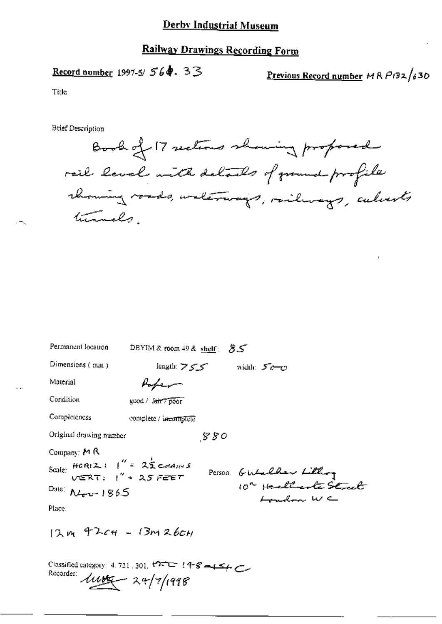### **Railway Drawings Recording Form**

# Record number 1997-5/ 564. 33

Previous Record number  $MRP/32/630$ 

Title

**Brief Description** 

Book of 17 sections showing proposed rail level with details of ground profile rhowing roads, waterways, railways, culverts turnels

| Permanent location                                                                                                                                                       | DBYIM & room 49 & shelf: $55$ |      |                                      |
|--------------------------------------------------------------------------------------------------------------------------------------------------------------------------|-------------------------------|------|--------------------------------------|
| Dimensions (mm)                                                                                                                                                          | length: フェニ                   |      | width: $5\sigma$ $\sigma$            |
| Material                                                                                                                                                                 | Popen                         |      |                                      |
| Condition                                                                                                                                                                | good / fair 7 poor            |      |                                      |
| Completeness                                                                                                                                                             | complete / incomplete         |      |                                      |
| Original drawing number                                                                                                                                                  |                               | -880 |                                      |
| Company: M R<br>Scale: $HOR(Z) = \begin{pmatrix} 1 & 2 & 2 \\ 1 & 3 & 2 \end{pmatrix}$ CHAINS<br>Date: $\Lambda$ Lever 1865<br>Place:<br>$12m$ $42c$ $4 - 13m$ $26c$ $H$ |                               |      | Person Gutalher Lithog<br>London W C |
|                                                                                                                                                                          |                               |      |                                      |

Classified category: 4.721, 301,  $127 = 148 - 154$ Recorder: 1118 - 24/7/1998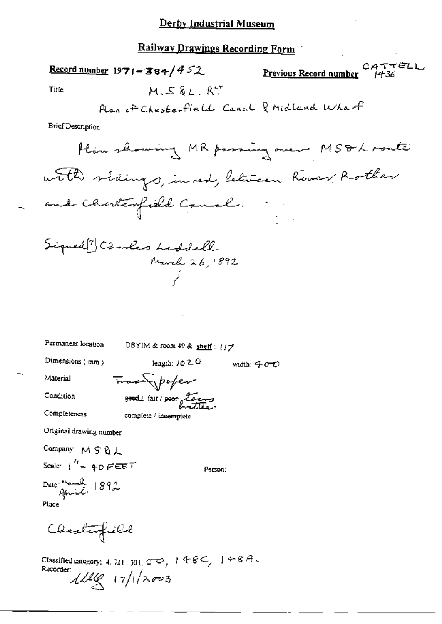### Railway Deawines Described Female

width:  $400$ 

Material

Condition

Completeness

Track poper good / fair / poor lease complete / incomplete

Original drawing number

Company: M S & L Scale:  $i^{\prime\prime}$  = 40 FEET

Person:

Date Monde 1892 Place:

Chesterfield

Classified category: 4.721.301.00, 148C, 148A.<br>Recorder:<br> $\mathcal{W}(\mathcal{L}) = \frac{1}{2} \int_0^1 (\sqrt{2\pi} \cdot 3) \frac{1}{2} \cdot 3$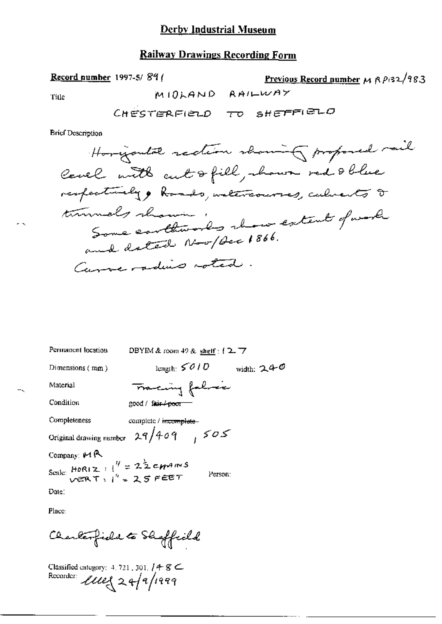### **Railway Drawings Recording Form**

Record number 1997-5/89 (

Previous Record number  $\mu$   $\beta$   $\beta$  32/983 MIOLAND RAILWAY

**Brief Description** 

Title

| Permanent location                                                                              | DBYIM & room $49$ & shelf : $(2.7)$    |
|-------------------------------------------------------------------------------------------------|----------------------------------------|
| Dimensions $(mn)$                                                                               | length: $5010$<br>width: $240$         |
| Material                                                                                        | Tracing folice                         |
| Condition                                                                                       | good / fair / poor                     |
| Completeness                                                                                    | complete / incomplete-                 |
|                                                                                                 | Original drawing number $29/409$ $505$ |
| Company: 14 P                                                                                   |                                        |
| Scale: HORIZ: $1^{\prime\prime} = 2^{\frac{1}{2}}$ CHAINS<br>vert: $1^{\prime\prime} = 25$ FEET | Person:                                |
| Date:                                                                                           |                                        |
|                                                                                                 |                                        |

Place:

Charlesfield to Shaffield

Classified category: 4.721.301. / 4-8  $\epsilon$ <br>Recorder:  $\mathcal{L}ue_{\alpha}^2 2.4/7/1999$ 

 $\sim$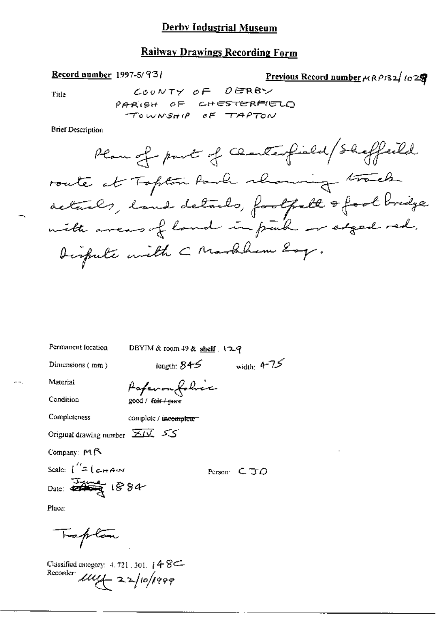### **Railway Drawings Recording Form**

Record number 1997-5/93/

Previous Record number 
$$
\mu R \rho R
$$
 1029

,

Title

**Brief Description** 

Permanent location

DBYIM & room 49 & shelf . 129

Dimensions (mm)

length:  $845$  width:  $4-75$ 

Material

Condition

Completeness

Paperon folice good / fair / peatr

complete / incomplete

Original drawing number  $\overline{\mathbf{\Sigma}}\overline{\mathbf{\Sigma}}$   $\overline{\mathbf{\Sigma}}$ 

Company: MR

Scale:  $\int_{0}^{t} f(x) d\theta dx$ 

Person:  $C$   $J$   $O$ 

Place:

Faplon

Classified category:  $4.721.301.$   $48 \leftarrow$ Recorder *Luiz* 22/10/1999

 $-1$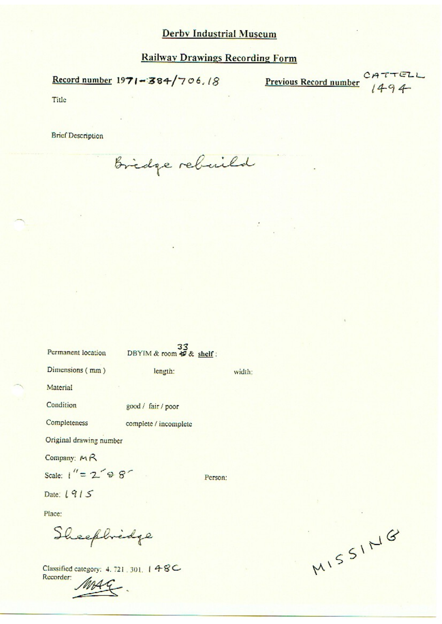÷

Record number  $1971 - 384/706.18$ 

 $\frac{CATTELL}{1494}$ **Previous Record number** 

Title

**Brief Description** 

Bridge rebuild

| Permanent location      | DBYIM & room $\frac{33}{50}$ & shelf: |         |
|-------------------------|---------------------------------------|---------|
| Dimensions (mm)         | length:                               | width:  |
| Material                |                                       |         |
| Condition               | good / fair / poor                    |         |
| Completeness            | complete / incomplete                 |         |
| Original drawing number |                                       |         |
| Company: $M R$          |                                       |         |
| Scale: $1'' = 2' 9 8'$  |                                       | Person: |
| Date: 1915              |                                       |         |

Place:

Sheephredge

Classified category: 4.721.301. 148C Recorder:

MISSING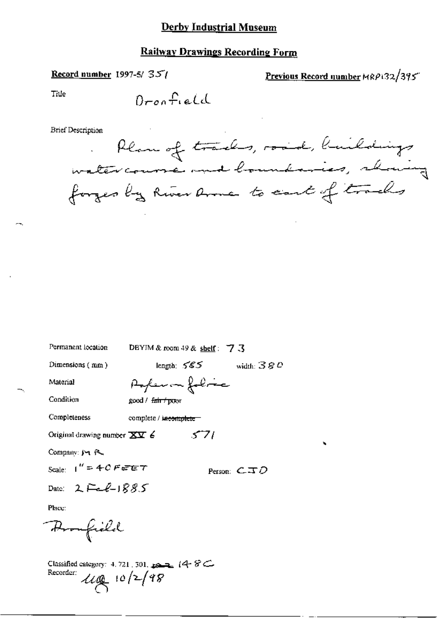### **Railway Drawings Recording Form**

### Record number 1997-5/ $351$

Previous Record number MRP132/395

Title

÷ч.

ч.

 $\ddot{\phantom{a}}$ 

**Brief Description** 

| Permanent location                                                     | DBYIM & room 49 & shelf: 7 $\sqrt{3}$ |
|------------------------------------------------------------------------|---------------------------------------|
| Dimensions $(mn)$                                                      | length: $585$<br>width: $380$         |
| Material                                                               | Arfeman foliac                        |
| Condition                                                              | good / fair / poor                    |
| Completeness                                                           | complete / incomplete                 |
| Original drawing number $\overline{\mathbf{X}}\overline{\mathbf{Y}}$ 6 | 571                                   |
| Company: J + R                                                         |                                       |
| Scale: $1'' = 40$ FeFET                                                | Person: $\mathsf{CID}$                |
| Date: $2F_{\rm eff}$ $1885$                                            |                                       |
| Place:                                                                 |                                       |
|                                                                        |                                       |

Promfield

Classified category: 4, 721, 301,  $\longrightarrow$  14  $\%$ Recorder:  $\mathcal{U}(\mathbb{Q})$  10/2/98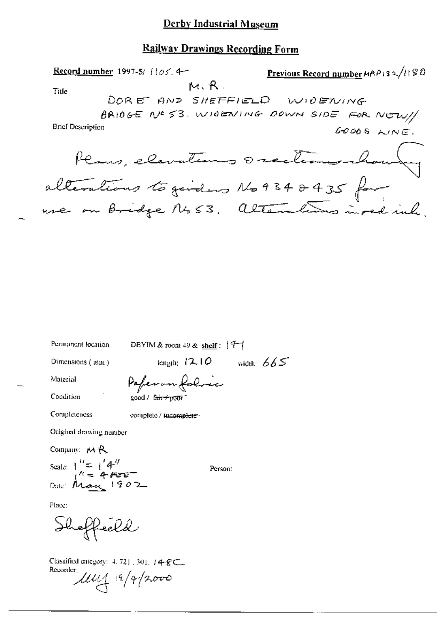### Railway Drawings Recording Form

Previous Record number MRP132/1180 Record number 1997-5/ $(105.4 M, R$ . Title DORE AND SHEFFIELD WIDENING BRIDGE Nº 53. WIDENLING DOWN SIDE FOR NEW // **Brief Description** GOODS LINE. Plans, elevations 0 rections changes

Permanent location

DBYIM & room 49 & shelf:  $(7-1)$ 

Dimensions (mm)

Paperon folice

Condition

Material

Completeness

complete / incomplete-

good / fair+poor

Original drawing number

Company:  $M$ <sup>Q</sup> Scale:  $\int_{1}^{R} = \int_{1}^{R} 4^{H}$ Date: May 1902

Person:

 $\frac{1}{2}$  iength;  $12.10$  width;  $665$ 

Place:

Shoffeeld

Classified category:  $4.721$ ,  $301$ ,  $14-8$ C, Recorder:  $1114 + 19/42000$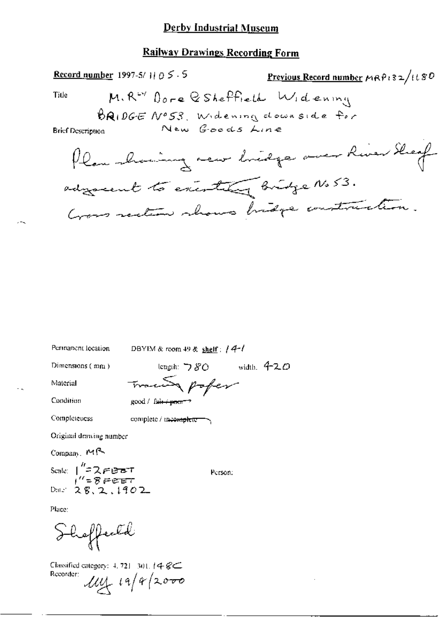### Railway Drawings Recording Form

Record number 1997-5/11  $0 \leq .5$ Previous Record number MRP132/1180 M. R<sup>wy</sup> Dore & Sheffield Widening Title BRIDGE Nº53, Widening downside for New Goods Line **Brief Description** Plan showing new lineage over River Sheep advancent to executing Bridge No 53. Good rection shows bridge construction. Permanent location DBYIM & room 49 & shelf:  $/4$ - $/$ length:  $780$  width,  $420$ Dimensions (mm) Trace poper Material Condition  $good /$  fair  $+$   $p$ oor<sup>-</sup> Completeness complete / tracomplete -Original drawing number  $Common$   $M$  $\sim$ 

Scate:  $1^{''}=2$  FB BT<br> $1^{''}=8$  FBBT<br>Date: 28, 2, 1902

Person:

Place:

Shoffeeld

Classified category:  $4, 721, 301, 14, 8 \leq$ Recorder:  $114 + 19/4$  2000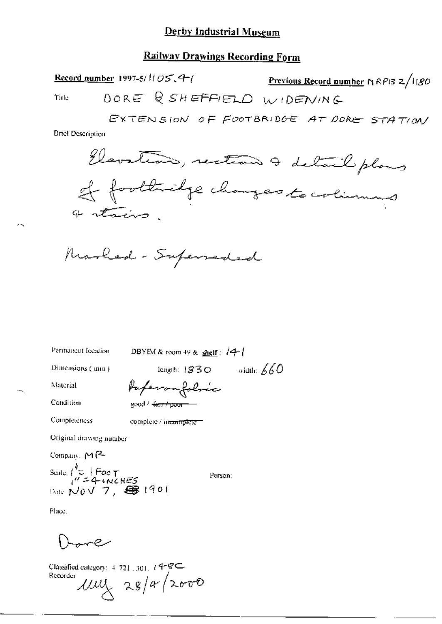### **Railway Drawings Recording Form**

Record number 1997-5/ $1105.4$ <sup>-1</sup> Previous Record number  $\ln RPI3 \ge \ln 80$ DORE & SHEFFIELD WIDENING Title

EXTENSION OF FOOTBRIDGE AT DORE STATION

**Brief Description** 



Permanent location

DBYIM & room 49 & shelf :  $/4$ 

Dimensions ( mm )

length:  $1830$  width: 660

Material

**Completeness** 

Condition

Paperonfolmic good / farr / poor-

complete / incomplete

Original drawing number

Compain, MR

Scale:  $\begin{cases} k_{\text{C}} & \text{Foo } \tau \\ l' = 4 \text{ KCES} \\ \text{Date } \mathbb{N}0 \vee 7, \quad \bigoplus 1901 \end{cases}$ 

Person:

Place.

مرجههه

Classified category:  $4.721$ ,  $30$ ],  $4.8$ C Recorder  $\mu\mu\chi$  28/a/2000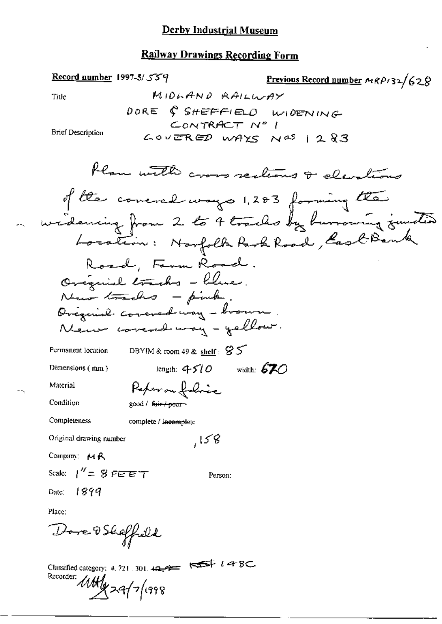### **Railway Drawings Recording Form**

Record number 1997-5/ $559$ 

Previous Record number  $MRP/32/628$ MIDLAND RAILWAY Title DORE & SHEFFIELD WIDENING CONTRACT Nº 1 **Brief Description**  $CovERED$  WAYS  $N^{AS}$  | 283 Plan with cross sections & elevations of the concred ways 1,283 forming the widening from 2 to 4 tracks by hurrowing junited Road, Farm Road. Original tracks - Clue. New tracks - pink. Original covered way - brown New covered way - yellow. Permanent location DBYIM & room 49 & shelf:  $S5$ length:  $4510$  width: 670 Dimensions (mm) Reper on folice Material Condition good / fair / poor Completeness complete / incomplete  $158$ Original drawing number Company: MR Scale:  $1'' = 8$  FEET Person: -1899 Date: Place: Dore OShaffield Classified category: 4.721, 301,  $\overline{42}$   $\overline{43}$   $\overline{48}$ Recorder: MANy 29/7/1998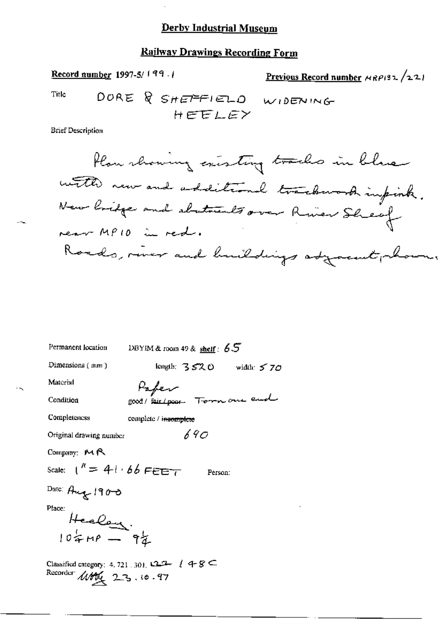# **Railway Drawings Recording Form**

Record number 1997-5/199.1 Previous Record number  $\mu$ RP132/221 DORE & SHEFFIELD WIDENING Title HEELEY **Brief Description** 

| Permanent location                  | DBYIM & room 49 & $\frac{\text{shell}}{5.5}$                      |
|-------------------------------------|-------------------------------------------------------------------|
| $Dimensions$ ( $mn$ )               | length: $3520$ width: $570$                                       |
| Material                            | Paper                                                             |
| Condition                           | good/fair/poor Tommone and                                        |
| Completeness                        | complete / i <del>ncomplete</del>                                 |
| Original drawing number             | 690                                                               |
| Company: $M R$                      |                                                                   |
| Scale: $1^k = 41.66$ FEET           | Person:                                                           |
| Date: Aug 1900                      |                                                                   |
| Place:<br>Healong.<br>10 = MP - 9 } |                                                                   |
| Recorder $\mu$ 10 $(2.3, 10.97)$    | Classified category: 4, 721 . 301, $\Box \Box \Box$ $(4 - 8 \Box$ |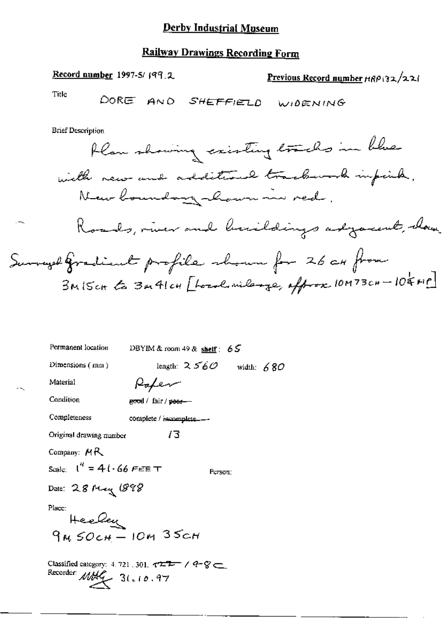**Railway Drawings Recording Form** Record number 1997-5/ $(99, 2)$ Previous Record number HRP 32/22/ Title DORE AND SHEFFIELD WIDENING **Brief Description** flaw showing existing tracks in blue with new and additional trackwork impirite, New boundary hour in red, Roads, river and buildings adjacent, thou Surveyed Gradient profile choun for 26 cx from BMISCH to 3m41cH [ford mileage, offrox 10M73cH-104MP] Permanent location DBYIM & room 49 & shelf:  $65$ length:  $2560$  width: 680 Dimensions (mm) Paper Material Condition good / fair / peer-Completeness complete / incomplete..... 13 Original drawing number Company:  $MR$ Scale:  $I'' = 4I \cdot 66$  FEET Person: Date: 28 May 1898

Place:

Heeley  $9M50cH - 10M35cH$ 

Classified category: 4, 721, 301,  $\tau^{\frac{m}{2m-1}}$  /  $\tau$   $\in$ Recorder:  $MML$  3( $.10.97$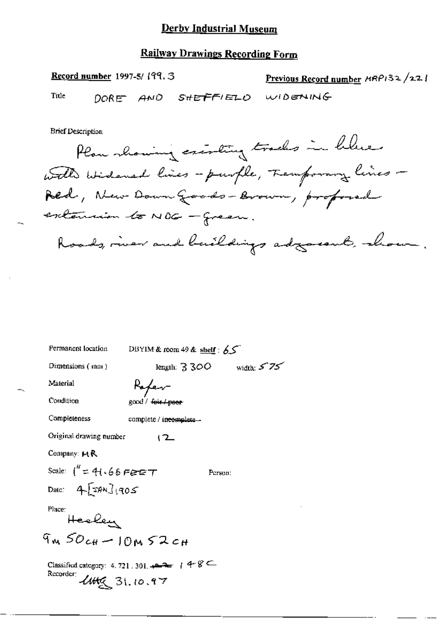#### **Railway Drawings Recording Form**

Record number 1997-5/199, 3 Previous Record number HRP132/221 DORE AND SHEFFIELD WIDENING Title

**Brief Description** 

Plan showing existing tracks in helme with widered lines - purple, Femporary lines -Red, New Down Goods-Brown, professed extension to NOG - green. Roads, river and buildings adjournt, show.

| Permanent location               | DBYIM & room 49 & shelf: $65$                        |              |
|----------------------------------|------------------------------------------------------|--------------|
| Dimensions $(mn)$                | length: $3300$                                       | width: $575$ |
| Material                         | Ropen                                                |              |
| Condition                        | good / fair / peer-                                  |              |
| Completeness                     | complete / incomplete -                              |              |
| Original drawing number          | 12                                                   |              |
| Company: $M$ $R$                 |                                                      |              |
| Scale: $1'' = 41.66$ FEET        |                                                      | Person:      |
| Date: $4\sqrt{374} \times 3.005$ |                                                      |              |
| Place:<br>Heeley                 |                                                      |              |
| $9m50c$ # - $10m52c$ #           |                                                      |              |
| Recorder:<br>4456, 31, 10, 97    | Classified category: 4.721.301.444 / 4 $\mathscr{C}$ |              |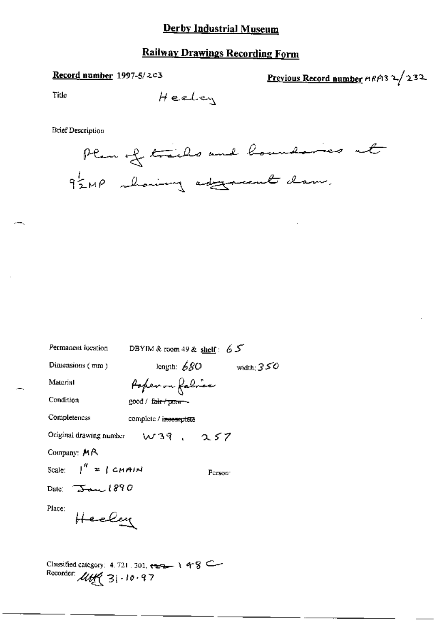### **Railway Drawings Recording Form**

#### Record number 1997-5/203

Previous Record number HRP132/232

Fitle

$$
{\rm Heelex}
$$

**Brief Description** 



| Permanent location               | DBYIM & room 49 & shelf: 65                                                    |
|----------------------------------|--------------------------------------------------------------------------------|
| Dimensions $(mn)$                | length: $680$ width; $350$                                                     |
| Material                         | Popen on fabrice                                                               |
| Condition                        | good / fa <del>ir / pom -</del>                                                |
| Completencss                     | complete / i <del>ncomplete</del>                                              |
|                                  | Original drawing number $w$ 39, $\alpha$ 57                                    |
| Company: MR                      |                                                                                |
| Scale: $\int_0^R = \int C H H M$ | Person:                                                                        |
| Date: $\overline{3}$ and $1890$  |                                                                                |
| Place:<br>Heeley                 |                                                                                |
|                                  | $\frac{\text{Classified category}}{4.721.701}$ and $\frac{\text{Area}}{4.721}$ |

 $\frac{1}{2}$  1 48 Recorder: *UH*<sup>(</sup> 31-10-97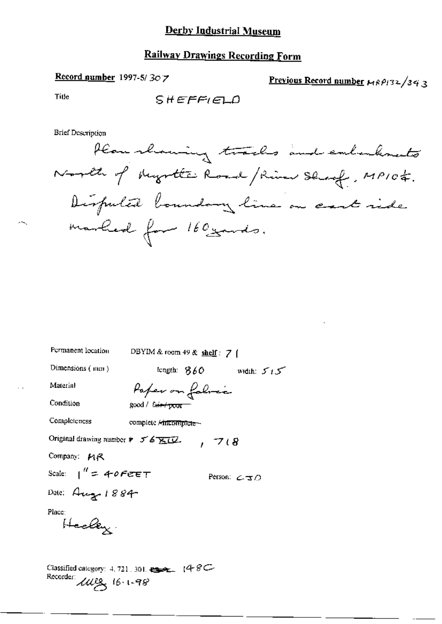#### Record number 1997-5/ $30$ 7

Previous Record number HRP132/343

Title

**Brief Description** 

Plan showing tracks and embedements North of Myster Road / River Sleep, MP104. Disputal boundary line on east ride marked for 160 yards.

| Permanent location                                                                                                         | DBYIM & room 49 & shelf: 7 $\uparrow$ |                 |                                   |
|----------------------------------------------------------------------------------------------------------------------------|---------------------------------------|-----------------|-----------------------------------|
| Dimensions $(mm)$                                                                                                          |                                       |                 | length: $860$ width: $515$        |
| Material                                                                                                                   |                                       | Paper on fabric |                                   |
| Condition                                                                                                                  | good / fa <del>ir / poor =</del>      |                 |                                   |
| Completeness                                                                                                               | complete Aincomplete -                |                 |                                   |
| Original drawing number $\ast$ 5 6 $\overline{\text{KU}}$ .                                                                |                                       | 7(8)            |                                   |
| Company: MR                                                                                                                |                                       |                 |                                   |
| Scale: $1'' = 40$ Fere T                                                                                                   |                                       |                 | Person: $\angle \exists \bigcirc$ |
| Date: Aug 1884                                                                                                             |                                       |                 |                                   |
| Place:<br>Healey.                                                                                                          |                                       |                 |                                   |
| Classified category: 4, 721, 301, $\bullet$ $\bullet$ $\bullet$ $(48\text{C})$<br>Recorder: $\mu$ erg <sub>16</sub> . 1-98 |                                       |                 |                                   |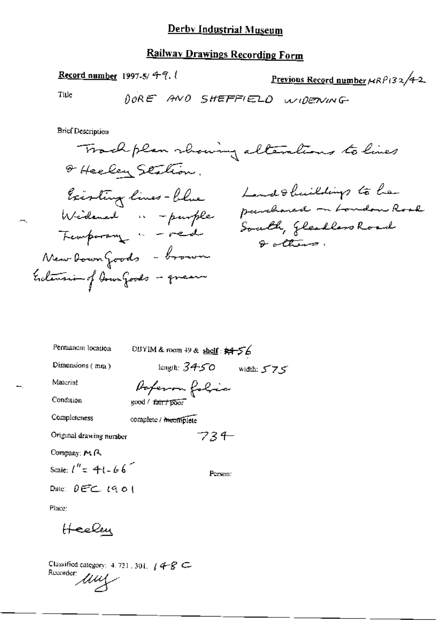# **Railway Drawings Recording Form**

Record number 1997-5/ $49$ .

Previous Record number  $\mu$ RP132/4-2

Title

**Brief Description** 

Track plan rhowing alterations to lives Of Heeley Station. Land & buildings to he Existing lines - blue parchared on London Road Widemed " - purple South, Gleadless Road  $Q$  alters. New Down Goods - brown Entension of Down Goods - green

| Permanent location                           | DBYIM & room $+9$ & shelf: $\frac{1}{2}$ + 56           |            |
|----------------------------------------------|---------------------------------------------------------|------------|
| Dimensions (mm)                              | length: $34$ 50 $^\circ$                                | width: 575 |
| Material                                     | Poferon folic                                           |            |
| Condition                                    | $\mathsf{good} \wedge \mathsf{fair} \neq \mathsf{poor}$ |            |
| Completeness                                 | complete / meomplete                                    |            |
| Original drawing number                      | 73 I                                                    |            |
| Company: $M \cap \mathbb{R}$                 |                                                         |            |
| Scale: $l'' = 41 - 66$                       | Person:                                                 |            |
| Date: $\theta \in \subset \mathcal{C}$ (9.01 |                                                         |            |
| Place:                                       |                                                         |            |
|                                              |                                                         |            |

Classified category: 4, 721, 301,  $/4 - 8$  C Recorder *ULLY* 

Heeley